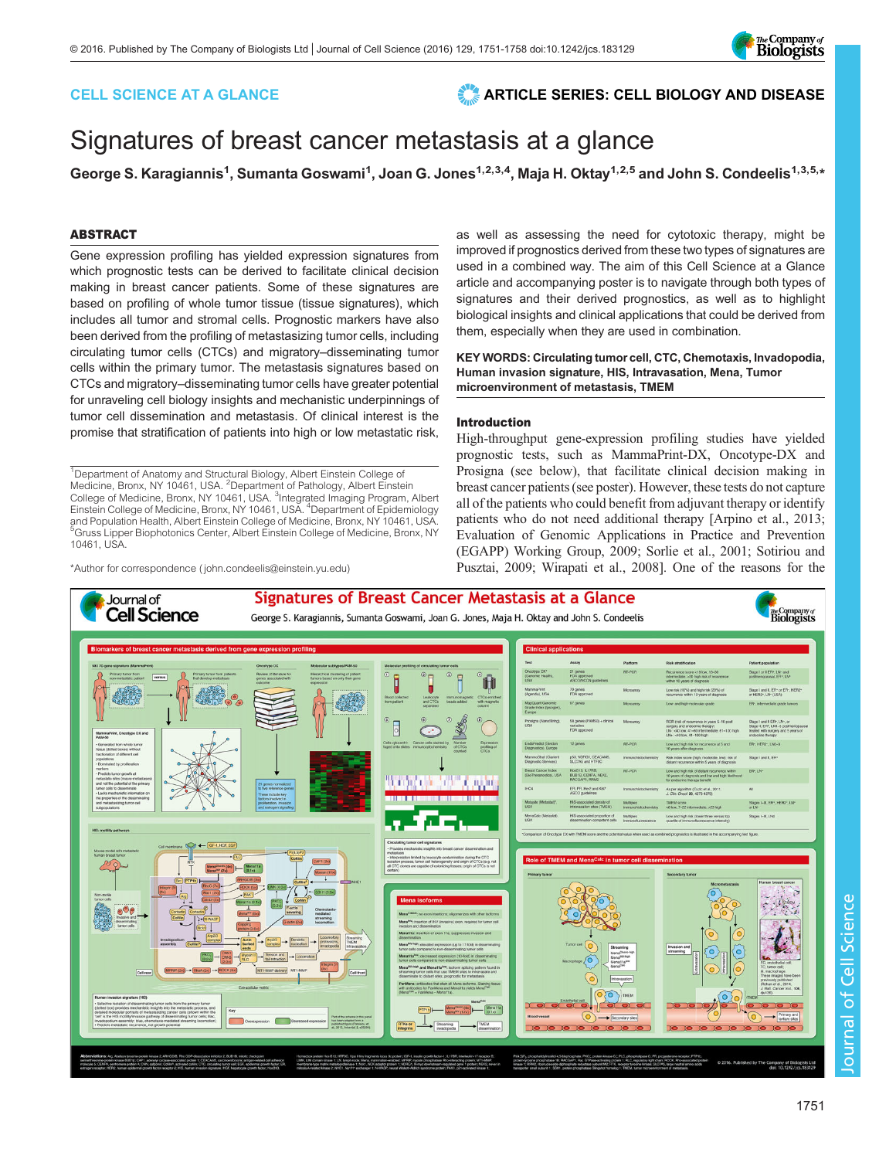



# Signatures of breast cancer metastasis at a glance

George S. Karagiannis<sup>1</sup>, Sumanta Goswami<sup>1</sup>, Joan G. Jones<sup>1,2,3,4</sup>, Maja H. Oktay<sup>1,2,5</sup> and John S. Condeelis<sup>1,3,5,\*</sup>

# ABSTRACT

Gene expression profiling has yielded expression signatures from which prognostic tests can be derived to facilitate clinical decision making in breast cancer patients. Some of these signatures are based on profiling of whole tumor tissue (tissue signatures), which includes all tumor and stromal cells. Prognostic markers have also been derived from the profiling of metastasizing tumor cells, including circulating tumor cells (CTCs) and migratory–disseminating tumor cells within the primary tumor. The metastasis signatures based on CTCs and migratory–disseminating tumor cells have greater potential for unraveling cell biology insights and mechanistic underpinnings of tumor cell dissemination and metastasis. Of clinical interest is the promise that stratification of patients into high or low metastatic risk,

<sup>1</sup>Department of Anatomy and Structural Biology, Albert Einstein College of<br>Medicine, Bronx, NY 10461, USA. <sup>2</sup>Department of Pathology, Albert Einstein College of Medicine, Bronx, NY 10461, USA. <sup>3</sup>Integrated Imaging Program, Albert Einstein College of Medicine, Bronx, NY 10461, USA. <sup>4</sup>Department of Epidemiology and Population Health, Albert Einstein College of Medicine, Bronx, NY 10461, USA. <sup>5</sup> Gruss Lipper Biophotonics Center, Albert Einstein College of Medicine, Bronx, NY 10461, USA.

\*Author for correspondence [\( john.condeelis@einstein.yu.edu](mailto:john.condeelis@einstein.yu.edu))

as well as assessing the need for cytotoxic therapy, might be improved if prognostics derived from these two types of signatures are used in a combined way. The aim of this Cell Science at a Glance article and accompanying poster is to navigate through both types of signatures and their derived prognostics, as well as to highlight biological insights and clinical applications that could be derived from them, especially when they are used in combination.

KEY WORDS: Circulating tumor cell, CTC, Chemotaxis, Invadopodia, Human invasion signature, HIS, Intravasation, Mena, Tumor microenvironment of metastasis, TMEM

# Introduction

High-throughput gene-expression profiling studies have yielded prognostic tests, such as MammaPrint-DX, Oncotype-DX and Prosigna (see below), that facilitate clinical decision making in breast cancer patients (see poster). However, these tests do not capture all of the patients who could benefit from adjuvant therapy or identify patients who do not need additional therapy [[Arpino et al., 2013](#page-5-0); [Evaluation of Genomic Applications in Practice and Prevention](#page-5-0) [\(EGAPP\) Working Group, 2009;](#page-5-0) [Sorlie et al., 2001](#page-6-0); [Sotiriou and](#page-7-0) [Pusztai, 2009; Wirapati et al., 2008](#page-7-0)]. One of the reasons for the

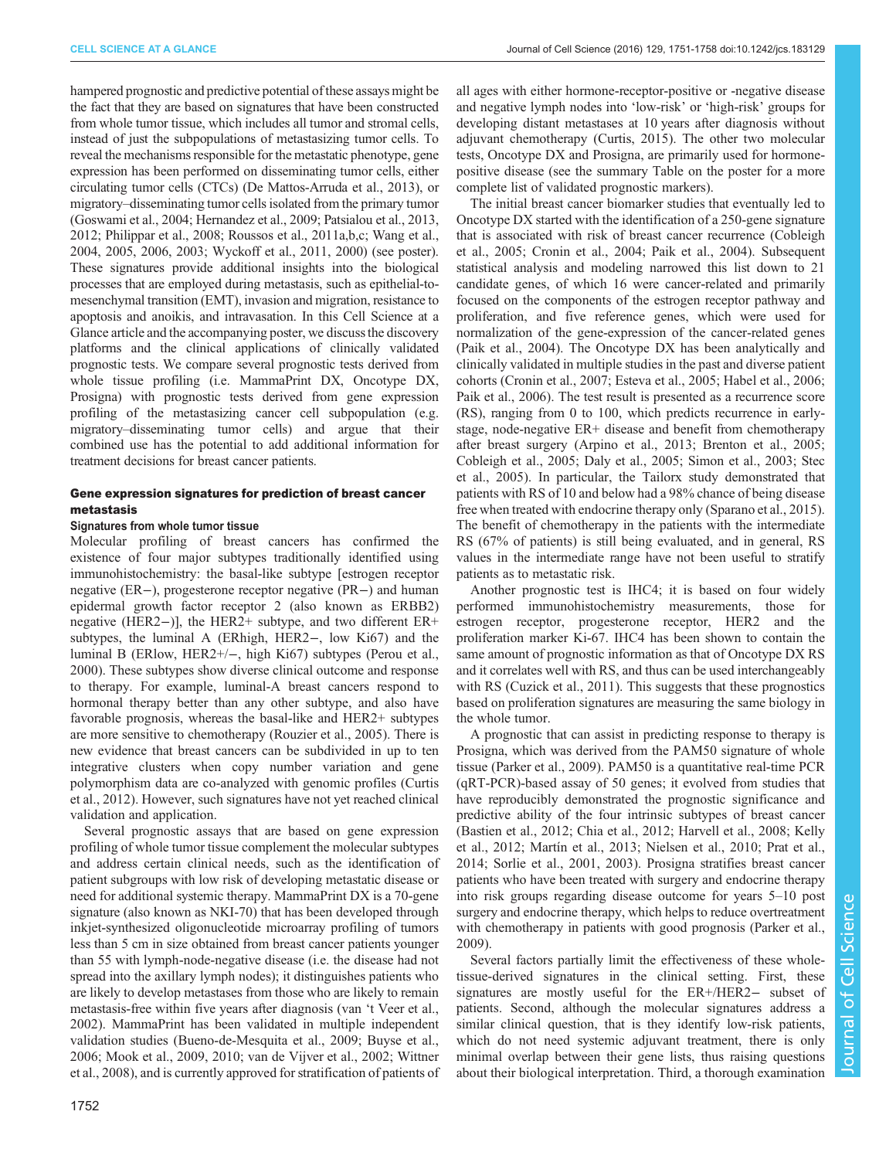hampered prognostic and predictive potential of these assays might be the fact that they are based on signatures that have been constructed from whole tumor tissue, which includes all tumor and stromal cells, instead of just the subpopulations of metastasizing tumor cells. To reveal the mechanisms responsible for the metastatic phenotype, gene expression has been performed on disseminating tumor cells, either circulating tumor cells (CTCs) ([De Mattos-Arruda et al., 2013\)](#page-5-0), or migratory–disseminating tumor cells isolated from the primary tumor [\(Goswami et al., 2004](#page-5-0); [Hernandez et al., 2009;](#page-5-0) [Patsialou et al., 2013,](#page-6-0) [2012; Philippar et al., 2008; Roussos et al., 2011a,b,c](#page-6-0); [Wang et al.,](#page-7-0) [2004, 2005, 2006](#page-7-0), [2003](#page-7-0); [Wyckoff et al., 2011, 2000](#page-7-0)) (see poster). These signatures provide additional insights into the biological processes that are employed during metastasis, such as epithelial-tomesenchymal transition (EMT), invasion and migration, resistance to apoptosis and anoikis, and intravasation. In this Cell Science at a Glance article and the accompanying poster, we discuss the discovery platforms and the clinical applications of clinically validated prognostic tests. We compare several prognostic tests derived from whole tissue profiling (i.e. MammaPrint DX, Oncotype DX, Prosigna) with prognostic tests derived from gene expression profiling of the metastasizing cancer cell subpopulation (e.g. migratory–disseminating tumor cells) and argue that their combined use has the potential to add additional information for treatment decisions for breast cancer patients.

# Gene expression signatures for prediction of breast cancer metastasis

### Signatures from whole tumor tissue

Molecular profiling of breast cancers has confirmed the existence of four major subtypes traditionally identified using immunohistochemistry: the basal-like subtype [estrogen receptor negative (ER−), progesterone receptor negative (PR−) and human epidermal growth factor receptor 2 (also known as ERBB2) negative (HER2−)], the HER2+ subtype, and two different ER+ subtypes, the luminal A (ERhigh, HER2−, low Ki67) and the luminal B (ERlow, HER2+/−, high Ki67) subtypes [\(Perou et al.,](#page-6-0) [2000](#page-6-0)). These subtypes show diverse clinical outcome and response to therapy. For example, luminal-A breast cancers respond to hormonal therapy better than any other subtype, and also have favorable prognosis, whereas the basal-like and HER2+ subtypes are more sensitive to chemotherapy [\(Rouzier et al., 2005\)](#page-6-0). There is new evidence that breast cancers can be subdivided in up to ten integrative clusters when copy number variation and gene polymorphism data are co-analyzed with genomic profiles ([Curtis](#page-5-0) [et al., 2012](#page-5-0)). However, such signatures have not yet reached clinical validation and application.

Several prognostic assays that are based on gene expression profiling of whole tumor tissue complement the molecular subtypes and address certain clinical needs, such as the identification of patient subgroups with low risk of developing metastatic disease or need for additional systemic therapy. MammaPrint DX is a 70-gene signature (also known as NKI-70) that has been developed through inkjet-synthesized oligonucleotide microarray profiling of tumors less than 5 cm in size obtained from breast cancer patients younger than 55 with lymph-node-negative disease (i.e. the disease had not spread into the axillary lymph nodes); it distinguishes patients who are likely to develop metastases from those who are likely to remain metastasis-free within five years after diagnosis (van '[t Veer et al.,](#page-7-0) [2002](#page-7-0)). MammaPrint has been validated in multiple independent validation studies ([Bueno-de-Mesquita et al., 2009; Buyse et al.,](#page-5-0) [2006](#page-5-0); [Mook et al., 2009](#page-6-0), [2010](#page-6-0); [van de Vijver et al., 2002](#page-7-0); [Wittner](#page-7-0) [et al., 2008\)](#page-7-0), and is currently approved for stratification of patients of

all ages with either hormone-receptor-positive or -negative disease and negative lymph nodes into 'low-risk' or 'high-risk' groups for developing distant metastases at 10 years after diagnosis without adjuvant chemotherapy ([Curtis, 2015](#page-5-0)). The other two molecular tests, Oncotype DX and Prosigna, are primarily used for hormonepositive disease (see the summary Table on the poster for a more complete list of validated prognostic markers).

The initial breast cancer biomarker studies that eventually led to Oncotype DX started with the identification of a 250-gene signature that is associated with risk of breast cancer recurrence ([Cobleigh](#page-5-0) [et al., 2005](#page-5-0); [Cronin et al., 2004;](#page-5-0) [Paik et al., 2004\)](#page-6-0). Subsequent statistical analysis and modeling narrowed this list down to 21 candidate genes, of which 16 were cancer-related and primarily focused on the components of the estrogen receptor pathway and proliferation, and five reference genes, which were used for normalization of the gene-expression of the cancer-related genes [\(Paik et al., 2004\)](#page-6-0). The Oncotype DX has been analytically and clinically validated in multiple studies in the past and diverse patient cohorts [\(Cronin et al., 2007; Esteva et al., 2005; Habel et al., 2006](#page-5-0); [Paik et al., 2006\)](#page-6-0). The test result is presented as a recurrence score (RS), ranging from 0 to 100, which predicts recurrence in earlystage, node-negative ER+ disease and benefit from chemotherapy after breast surgery ([Arpino et al., 2013](#page-5-0); [Brenton et al., 2005](#page-5-0); [Cobleigh et al., 2005; Daly et al., 2005](#page-5-0); [Simon et al., 2003;](#page-6-0) [Stec](#page-7-0) [et al., 2005](#page-7-0)). In particular, the Tailorx study demonstrated that patients with RS of 10 and below had a 98% chance of being disease free when treated with endocrine therapy only [\(Sparano et al., 2015\)](#page-7-0). The benefit of chemotherapy in the patients with the intermediate RS (67% of patients) is still being evaluated, and in general, RS values in the intermediate range have not been useful to stratify patients as to metastatic risk.

Another prognostic test is IHC4; it is based on four widely performed immunohistochemistry measurements, those for estrogen receptor, progesterone receptor, HER2 and the proliferation marker Ki-67. IHC4 has been shown to contain the same amount of prognostic information as that of Oncotype DX RS and it correlates well with RS, and thus can be used interchangeably with RS ([Cuzick et al., 2011\)](#page-5-0). This suggests that these prognostics based on proliferation signatures are measuring the same biology in the whole tumor.

A prognostic that can assist in predicting response to therapy is Prosigna, which was derived from the PAM50 signature of whole tissue ([Parker et al., 2009\)](#page-6-0). PAM50 is a quantitative real-time PCR (qRT-PCR)-based assay of 50 genes; it evolved from studies that have reproducibly demonstrated the prognostic significance and predictive ability of the four intrinsic subtypes of breast cancer [\(Bastien et al., 2012](#page-5-0); [Chia et al., 2012](#page-5-0); [Harvell et al., 2008;](#page-5-0) [Kelly](#page-6-0) [et al., 2012](#page-6-0); [Martín et al., 2013; Nielsen et al., 2010](#page-6-0); [Prat et al.,](#page-6-0) [2014; Sorlie et al., 2001,](#page-6-0) [2003](#page-7-0)). Prosigna stratifies breast cancer patients who have been treated with surgery and endocrine therapy into risk groups regarding disease outcome for years 5–10 post surgery and endocrine therapy, which helps to reduce overtreatment with chemotherapy in patients with good prognosis ([Parker et al.,](#page-6-0) [2009\)](#page-6-0).

Several factors partially limit the effectiveness of these wholetissue-derived signatures in the clinical setting. First, these signatures are mostly useful for the ER+/HER2− subset of patients. Second, although the molecular signatures address a similar clinical question, that is they identify low-risk patients, which do not need systemic adjuvant treatment, there is only minimal overlap between their gene lists, thus raising questions about their biological interpretation. Third, a thorough examination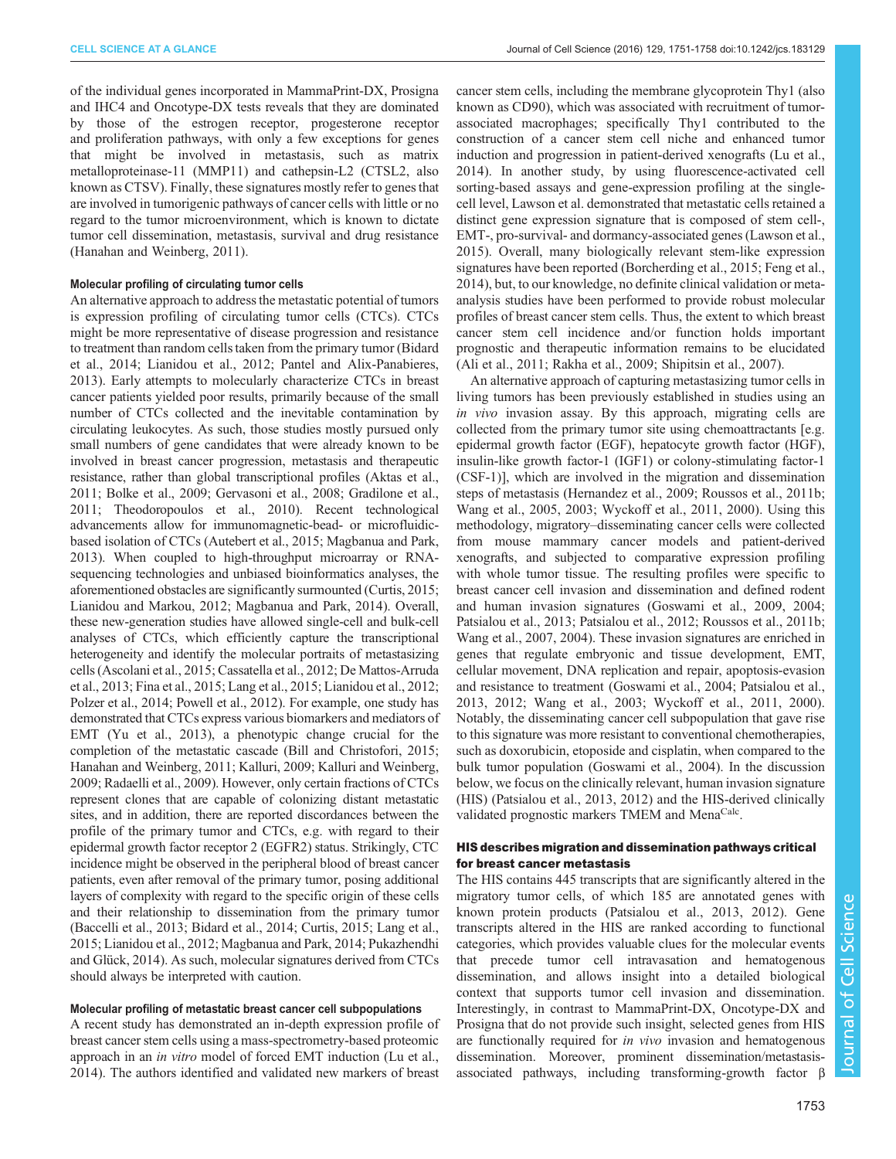of the individual genes incorporated in MammaPrint-DX, Prosigna and IHC4 and Oncotype-DX tests reveals that they are dominated by those of the estrogen receptor, progesterone receptor and proliferation pathways, with only a few exceptions for genes that might be involved in metastasis, such as matrix metalloproteinase-11 (MMP11) and cathepsin-L2 (CTSL2, also known as CTSV). Finally, these signatures mostly refer to genes that are involved in tumorigenic pathways of cancer cells with little or no regard to the tumor microenvironment, which is known to dictate tumor cell dissemination, metastasis, survival and drug resistance [\(Hanahan and Weinberg, 2011\)](#page-5-0).

### Molecular profiling of circulating tumor cells

An alternative approach to address the metastatic potential of tumors is expression profiling of circulating tumor cells (CTCs). CTCs might be more representative of disease progression and resistance to treatment than random cells taken from the primary tumor [\(Bidard](#page-5-0) [et al., 2014;](#page-5-0) [Lianidou et al., 2012; Pantel and Alix-Panabieres,](#page-6-0) [2013](#page-6-0)). Early attempts to molecularly characterize CTCs in breast cancer patients yielded poor results, primarily because of the small number of CTCs collected and the inevitable contamination by circulating leukocytes. As such, those studies mostly pursued only small numbers of gene candidates that were already known to be involved in breast cancer progression, metastasis and therapeutic resistance, rather than global transcriptional profiles ([Aktas et al.,](#page-5-0) [2011; Bolke et al., 2009; Gervasoni et al., 2008](#page-5-0); [Gradilone et al.,](#page-5-0) [2011;](#page-5-0) [Theodoropoulos et al., 2010\)](#page-7-0). Recent technological advancements allow for immunomagnetic-bead- or microfluidicbased isolation of CTCs [\(Autebert et al., 2015](#page-5-0); [Magbanua and Park,](#page-6-0) [2013\)](#page-6-0). When coupled to high-throughput microarray or RNAsequencing technologies and unbiased bioinformatics analyses, the aforementioned obstacles are significantly surmounted [\(Curtis, 2015](#page-5-0); [Lianidou and Markou, 2012](#page-6-0); [Magbanua and Park, 2014\)](#page-6-0). Overall, these new-generation studies have allowed single-cell and bulk-cell analyses of CTCs, which efficiently capture the transcriptional heterogeneity and identify the molecular portraits of metastasizing cells ([Ascolani et al., 2015; Cassatella et al., 2012](#page-5-0); [De Mattos-Arruda](#page-5-0) [et al., 2013](#page-5-0); [Fina et al., 2015](#page-5-0); [Lang et al., 2015](#page-6-0); [Lianidou et al., 2012](#page-6-0); [Polzer et al., 2014](#page-6-0); [Powell et al., 2012](#page-6-0)). For example, one study has demonstrated that CTCs express various biomarkers and mediators of EMT [\(Yu et al., 2013\)](#page-7-0), a phenotypic change crucial for the completion of the metastatic cascade [\(Bill and Christofori, 2015](#page-5-0); [Hanahan and Weinberg, 2011;](#page-5-0) [Kalluri, 2009; Kalluri and Weinberg,](#page-6-0) [2009; Radaelli et al., 2009](#page-6-0)). However, only certain fractions of CTCs represent clones that are capable of colonizing distant metastatic sites, and in addition, there are reported discordances between the profile of the primary tumor and CTCs, e.g. with regard to their epidermal growth factor receptor 2 (EGFR2) status. Strikingly, CTC incidence might be observed in the peripheral blood of breast cancer patients, even after removal of the primary tumor, posing additional layers of complexity with regard to the specific origin of these cells and their relationship to dissemination from the primary tumor [\(Baccelli et al., 2013; Bidard et al., 2014; Curtis, 2015](#page-5-0); [Lang et al.,](#page-6-0) [2015; Lianidou et al., 2012; Magbanua and Park, 2014](#page-6-0); [Pukazhendhi](#page-6-0) [and Glück, 2014](#page-6-0)). As such, molecular signatures derived from CTCs should always be interpreted with caution.

#### Molecular profiling of metastatic breast cancer cell subpopulations

A recent study has demonstrated an in-depth expression profile of breast cancer stem cells using a mass-spectrometry-based proteomic approach in an in vitro model of forced EMT induction ([Lu et al.,](#page-6-0) [2014](#page-6-0)). The authors identified and validated new markers of breast

cancer stem cells, including the membrane glycoprotein Thy1 (also known as CD90), which was associated with recruitment of tumorassociated macrophages; specifically Thy1 contributed to the construction of a cancer stem cell niche and enhanced tumor induction and progression in patient-derived xenografts [\(Lu et al.,](#page-6-0) [2014\)](#page-6-0). In another study, by using fluorescence-activated cell sorting-based assays and gene-expression profiling at the singlecell level, Lawson et al. demonstrated that metastatic cells retained a distinct gene expression signature that is composed of stem cell-, EMT-, pro-survival- and dormancy-associated genes ([Lawson et al.,](#page-6-0) [2015\)](#page-6-0). Overall, many biologically relevant stem-like expression signatures have been reported ([Borcherding et al., 2015](#page-5-0); [Feng et al.,](#page-5-0) [2014\)](#page-5-0), but, to our knowledge, no definite clinical validation or metaanalysis studies have been performed to provide robust molecular profiles of breast cancer stem cells. Thus, the extent to which breast cancer stem cell incidence and/or function holds important prognostic and therapeutic information remains to be elucidated [\(Ali et al., 2011](#page-5-0); [Rakha et al., 2009; Shipitsin et al., 2007\)](#page-6-0).

An alternative approach of capturing metastasizing tumor cells in living tumors has been previously established in studies using an in vivo invasion assay. By this approach, migrating cells are collected from the primary tumor site using chemoattractants [e.g. epidermal growth factor (EGF), hepatocyte growth factor (HGF), insulin-like growth factor-1 (IGF1) or colony-stimulating factor-1 (CSF-1)], which are involved in the migration and dissemination steps of metastasis [\(Hernandez et al., 2009](#page-5-0); [Roussos et al., 2011b](#page-6-0); [Wang et al., 2005, 2003; Wyckoff et al., 2011](#page-7-0), [2000\)](#page-7-0). Using this methodology, migratory–disseminating cancer cells were collected from mouse mammary cancer models and patient-derived xenografts, and subjected to comparative expression profiling with whole tumor tissue. The resulting profiles were specific to breast cancer cell invasion and dissemination and defined rodent and human invasion signatures ([Goswami et al., 2009, 2004](#page-5-0); [Patsialou et al., 2013](#page-6-0); [Patsialou et al., 2012](#page-6-0); [Roussos et al., 2011b](#page-6-0); [Wang et al., 2007](#page-7-0), [2004\)](#page-7-0). These invasion signatures are enriched in genes that regulate embryonic and tissue development, EMT, cellular movement, DNA replication and repair, apoptosis-evasion and resistance to treatment [\(Goswami et al., 2004;](#page-5-0) [Patsialou et al.,](#page-6-0) [2013, 2012](#page-6-0); [Wang et al., 2003](#page-7-0); [Wyckoff et al., 2011](#page-7-0), [2000\)](#page-7-0). Notably, the disseminating cancer cell subpopulation that gave rise to this signature was more resistant to conventional chemotherapies, such as doxorubicin, etoposide and cisplatin, when compared to the bulk tumor population [\(Goswami et al., 2004](#page-5-0)). In the discussion below, we focus on the clinically relevant, human invasion signature (HIS) [\(Patsialou et al., 2013](#page-6-0), [2012](#page-6-0)) and the HIS-derived clinically validated prognostic markers TMEM and Mena<sup>Calc</sup>.

# HIS describes migration and dissemination pathways critical for breast cancer metastasis

The HIS contains 445 transcripts that are significantly altered in the migratory tumor cells, of which 185 are annotated genes with known protein products ([Patsialou et al., 2013, 2012\)](#page-6-0). Gene transcripts altered in the HIS are ranked according to functional categories, which provides valuable clues for the molecular events that precede tumor cell intravasation and hematogenous dissemination, and allows insight into a detailed biological context that supports tumor cell invasion and dissemination. Interestingly, in contrast to MammaPrint-DX, Oncotype-DX and Prosigna that do not provide such insight, selected genes from HIS are functionally required for in vivo invasion and hematogenous dissemination. Moreover, prominent dissemination/metastasisassociated pathways, including transforming-growth factor β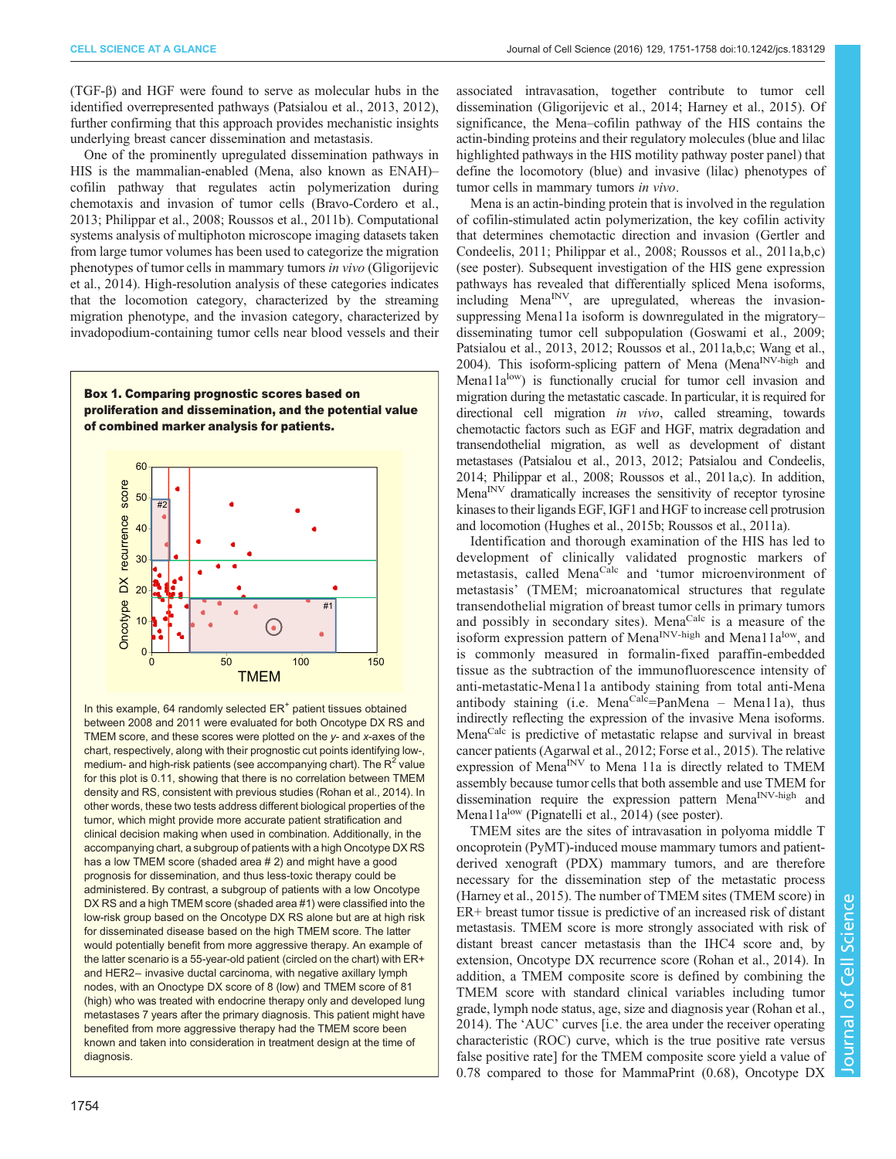<span id="page-3-0"></span>(TGF-β) and HGF were found to serve as molecular hubs in the identified overrepresented pathways [\(Patsialou et al., 2013](#page-6-0), [2012\)](#page-6-0), further confirming that this approach provides mechanistic insights underlying breast cancer dissemination and metastasis.

One of the prominently upregulated dissemination pathways in HIS is the mammalian-enabled (Mena, also known as ENAH)– cofilin pathway that regulates actin polymerization during chemotaxis and invasion of tumor cells ([Bravo-Cordero et al.,](#page-5-0) [2013](#page-5-0); [Philippar et al., 2008; Roussos et al., 2011b](#page-6-0)). Computational systems analysis of multiphoton microscope imaging datasets taken from large tumor volumes has been used to categorize the migration phenotypes of tumor cells in mammary tumors in vivo ([Gligorijevic](#page-5-0) [et al., 2014\)](#page-5-0). High-resolution analysis of these categories indicates that the locomotion category, characterized by the streaming migration phenotype, and the invasion category, characterized by invadopodium-containing tumor cells near blood vessels and their

Box 1. Comparing prognostic scores based on proliferation and dissemination, and the potential value of combined marker analysis for patients.



In this example, 64 randomly selected  $ER<sup>+</sup>$  patient tissues obtained between 2008 and 2011 were evaluated for both Oncotype DX RS and TMEM score, and these scores were plotted on the y- and x-axes of the chart, respectively, along with their prognostic cut points identifying low-, medium- and high-risk patients (see accompanying chart). The  $R^2$  value for this plot is 0.11, showing that there is no correlation between TMEM density and RS, consistent with previous studies [\(Rohan et al., 2014](#page-6-0)). In other words, these two tests address different biological properties of the tumor, which might provide more accurate patient stratification and clinical decision making when used in combination. Additionally, in the accompanying chart, a subgroup of patients with a high Oncotype DX RS has a low TMEM score (shaded area # 2) and might have a good prognosis for dissemination, and thus less-toxic therapy could be administered. By contrast, a subgroup of patients with a low Oncotype DX RS and a high TMEM score (shaded area #1) were classified into the low-risk group based on the Oncotype DX RS alone but are at high risk for disseminated disease based on the high TMEM score. The latter would potentially benefit from more aggressive therapy. An example of the latter scenario is a 55-year-old patient (circled on the chart) with ER+ and HER2− invasive ductal carcinoma, with negative axillary lymph nodes, with an Onoctype DX score of 8 (low) and TMEM score of 81 (high) who was treated with endocrine therapy only and developed lung metastases 7 years after the primary diagnosis. This patient might have benefited from more aggressive therapy had the TMEM score been known and taken into consideration in treatment design at the time of diagnosis.

associated intravasation, together contribute to tumor cell dissemination ([Gligorijevic et al., 2014; Harney et al., 2015](#page-5-0)). Of significance, the Mena–cofilin pathway of the HIS contains the actin-binding proteins and their regulatory molecules (blue and lilac highlighted pathways in the HIS motility pathway poster panel) that define the locomotory (blue) and invasive (lilac) phenotypes of tumor cells in mammary tumors in vivo.

Mena is an actin-binding protein that is involved in the regulation of cofilin-stimulated actin polymerization, the key cofilin activity that determines chemotactic direction and invasion ([Gertler and](#page-5-0) [Condeelis, 2011;](#page-5-0) [Philippar et al., 2008; Roussos et al., 2011a](#page-6-0),[b](#page-6-0),[c\)](#page-6-0) (see poster). Subsequent investigation of the HIS gene expression pathways has revealed that differentially spliced Mena isoforms, including Mena<sup>INV</sup>, are upregulated, whereas the invasionsuppressing Mena11a isoform is downregulated in the migratory– disseminating tumor cell subpopulation ([Goswami et al., 2009](#page-5-0); [Patsialou et al., 2013, 2012](#page-6-0); [Roussos et al., 2011a,b,c;](#page-6-0) [Wang et al.,](#page-7-0) [2004](#page-7-0)). This isoform-splicing pattern of Mena (Mena<sup>INV-high</sup> and Mena11a<sup>low</sup>) is functionally crucial for tumor cell invasion and migration during the metastatic cascade. In particular, it is required for directional cell migration *in vivo*, called streaming, towards chemotactic factors such as EGF and HGF, matrix degradation and transendothelial migration, as well as development of distant metastases ([Patsialou et al., 2013](#page-6-0), [2012](#page-6-0); [Patsialou and Condeelis,](#page-6-0) [2014](#page-6-0); [Philippar et al., 2008](#page-6-0); [Roussos et al., 2011a,c](#page-6-0)). In addition, Mena<sup>INV</sup> dramatically increases the sensitivity of receptor tyrosine kinases to their ligands EGF, IGF1 and HGF to increase cell protrusion and locomotion [\(Hughes et al., 2015b; Roussos et al., 2011a\)](#page-6-0).

Identification and thorough examination of the HIS has led to development of clinically validated prognostic markers of metastasis, called Mena<sup>Calc</sup> and 'tumor microenvironment of metastasis' (TMEM; microanatomical structures that regulate transendothelial migration of breast tumor cells in primary tumors and possibly in secondary sites). Mena<sup>Calc</sup> is a measure of the isoform expression pattern of Mena<sup>INV-high</sup> and Mena11a<sup>low</sup>, and is commonly measured in formalin-fixed paraffin-embedded tissue as the subtraction of the immunofluorescence intensity of anti-metastatic-Mena11a antibody staining from total anti-Mena antibody staining (i.e. Mena<sup>Calc</sup>=PanMena – Mena11a), thus indirectly reflecting the expression of the invasive Mena isoforms. Mena<sup>Calc</sup> is predictive of metastatic relapse and survival in breast cancer patients ([Agarwal et al., 2012; Forse et al., 2015](#page-5-0)). The relative expression of Mena<sup>INV</sup> to Mena 11a is directly related to TMEM assembly because tumor cells that both assemble and use TMEM for dissemination require the expression pattern MenaINV-high and Mena11a<sup>low</sup> ([Pignatelli et al., 2014](#page-6-0)) (see poster).

TMEM sites are the sites of intravasation in polyoma middle T oncoprotein (PyMT)-induced mouse mammary tumors and patientderived xenograft (PDX) mammary tumors, and are therefore necessary for the dissemination step of the metastatic process [\(Harney et al., 2015\)](#page-5-0). The number of TMEM sites (TMEM score) in ER+ breast tumor tissue is predictive of an increased risk of distant metastasis. TMEM score is more strongly associated with risk of distant breast cancer metastasis than the IHC4 score and, by extension, Oncotype DX recurrence score [\(Rohan et al., 2014\)](#page-6-0). In addition, a TMEM composite score is defined by combining the TMEM score with standard clinical variables including tumor grade, lymph node status, age, size and diagnosis year [\(Rohan et al.,](#page-6-0) [2014\)](#page-6-0). The 'AUC' curves [i.e. the area under the receiver operating characteristic (ROC) curve, which is the true positive rate versus false positive rate] for the TMEM composite score yield a value of 0.78 compared to those for MammaPrint (0.68), Oncotype DX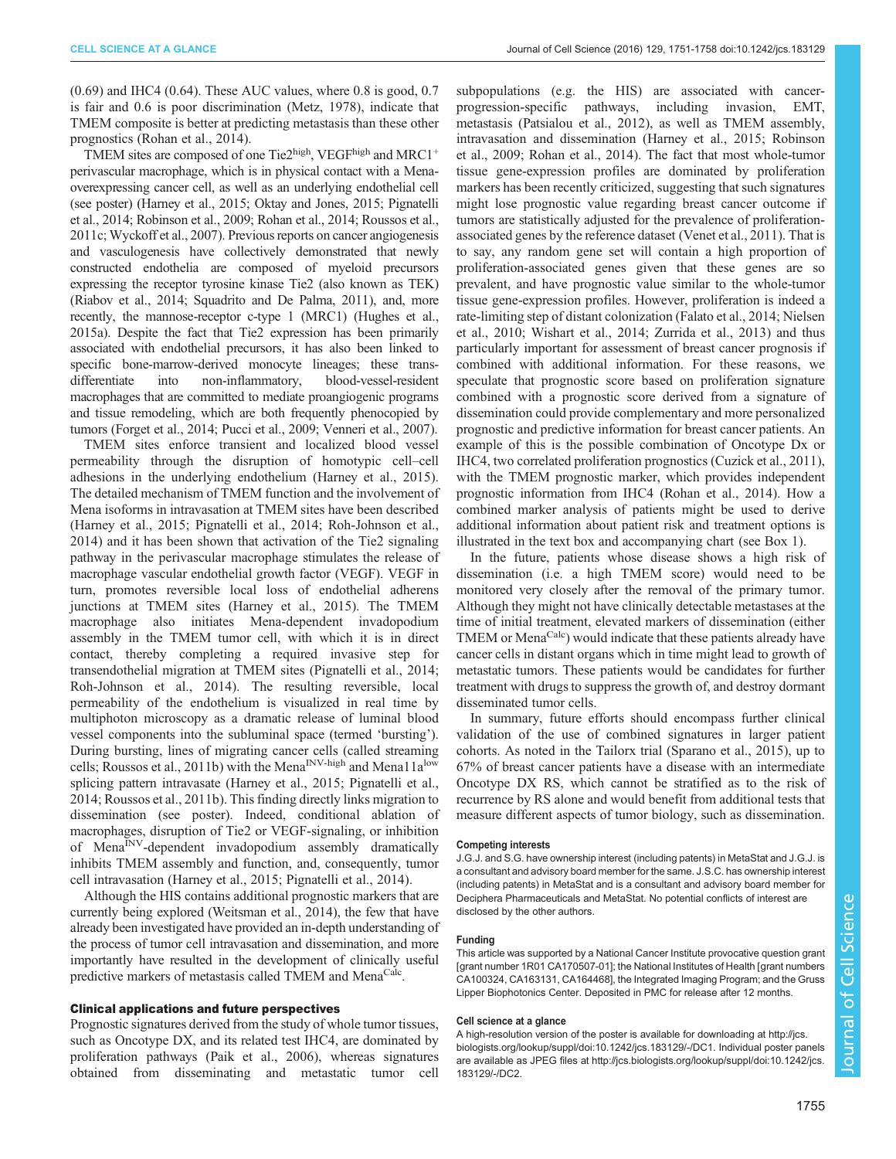$(0.69)$  and IHC4  $(0.64)$ . These AUC values, where 0.8 is good, 0.7 is fair and 0.6 is poor discrimination [\(Metz, 1978\)](#page-6-0), indicate that TMEM composite is better at predicting metastasis than these other prognostics ([Rohan et al., 2014\)](#page-6-0).

TMEM sites are composed of one Tie2high, VEGFhigh and MRC1<sup>+</sup> perivascular macrophage, which is in physical contact with a Menaoverexpressing cancer cell, as well as an underlying endothelial cell (see poster) ([Harney et al., 2015](#page-5-0); [Oktay and Jones, 2015; Pignatelli](#page-6-0) [et al., 2014](#page-6-0); [Robinson et al., 2009](#page-6-0); [Rohan et al., 2014; Roussos et al.,](#page-6-0) [2011c;](#page-6-0) [Wyckoff et al., 2007\)](#page-7-0). Previous reports on cancer angiogenesis and vasculogenesis have collectively demonstrated that newly constructed endothelia are composed of myeloid precursors expressing the receptor tyrosine kinase Tie2 (also known as TEK) [\(Riabov et al., 2014;](#page-6-0) [Squadrito and De Palma, 2011](#page-7-0)), and, more recently, the mannose-receptor c-type 1 (MRC1) ([Hughes et al.,](#page-5-0) [2015a\)](#page-5-0). Despite the fact that Tie2 expression has been primarily associated with endothelial precursors, it has also been linked to specific bone-marrow-derived monocyte lineages; these transdifferentiate into non-inflammatory, blood-vessel-resident macrophages that are committed to mediate proangiogenic programs and tissue remodeling, which are both frequently phenocopied by tumors [\(Forget et al., 2014](#page-5-0); [Pucci et al., 2009;](#page-6-0) [Venneri et al., 2007](#page-7-0)).

TMEM sites enforce transient and localized blood vessel permeability through the disruption of homotypic cell–cell adhesions in the underlying endothelium ([Harney et al., 2015\)](#page-5-0). The detailed mechanism of TMEM function and the involvement of Mena isoforms in intravasation at TMEM sites have been described [\(Harney et al., 2015](#page-5-0); [Pignatelli et al., 2014; Roh-Johnson et al.,](#page-6-0) [2014](#page-6-0)) and it has been shown that activation of the Tie2 signaling pathway in the perivascular macrophage stimulates the release of macrophage vascular endothelial growth factor (VEGF). VEGF in turn, promotes reversible local loss of endothelial adherens junctions at TMEM sites [\(Harney et al., 2015](#page-5-0)). The TMEM macrophage also initiates Mena-dependent invadopodium assembly in the TMEM tumor cell, with which it is in direct contact, thereby completing a required invasive step for transendothelial migration at TMEM sites ([Pignatelli et al., 2014](#page-6-0); [Roh-Johnson et al., 2014\)](#page-6-0). The resulting reversible, local permeability of the endothelium is visualized in real time by multiphoton microscopy as a dramatic release of luminal blood vessel components into the subluminal space (termed 'bursting'). During bursting, lines of migrating cancer cells (called streaming cells; [Roussos et al., 2011b\)](#page-6-0) with the Mena<sup>INV-high</sup> and Mena11a<sup>low</sup> splicing pattern intravasate [\(Harney et al., 2015;](#page-5-0) [Pignatelli et al.,](#page-6-0) [2014](#page-6-0); [Roussos et al., 2011b\)](#page-6-0). This finding directly links migration to dissemination (see poster). Indeed, conditional ablation of macrophages, disruption of Tie2 or VEGF-signaling, or inhibition of Mena<sup>INV</sup>-dependent invadopodium assembly dramatically inhibits TMEM assembly and function, and, consequently, tumor cell intravasation ([Harney et al., 2015](#page-5-0); [Pignatelli et al., 2014\)](#page-6-0).

Although the HIS contains additional prognostic markers that are currently being explored [\(Weitsman et al., 2014](#page-7-0)), the few that have already been investigated have provided an in-depth understanding of the process of tumor cell intravasation and dissemination, and more importantly have resulted in the development of clinically useful predictive markers of metastasis called TMEM and Mena<sup>Calc</sup>.

#### Clinical applications and future perspectives

Prognostic signatures derived from the study of whole tumor tissues, such as Oncotype DX, and its related test IHC4, are dominated by proliferation pathways ([Paik et al., 2006\)](#page-6-0), whereas signatures obtained from disseminating and metastatic tumor cell subpopulations (e.g. the HIS) are associated with cancerprogression-specific pathways, including invasion, EMT, metastasis ([Patsialou et al., 2012](#page-6-0)), as well as TMEM assembly, intravasation and dissemination [\(Harney et al., 2015;](#page-5-0) [Robinson](#page-6-0) [et al., 2009; Rohan et al., 2014](#page-6-0)). The fact that most whole-tumor tissue gene-expression profiles are dominated by proliferation markers has been recently criticized, suggesting that such signatures might lose prognostic value regarding breast cancer outcome if tumors are statistically adjusted for the prevalence of proliferationassociated genes by the reference dataset [\(Venet et al., 2011\)](#page-7-0). That is to say, any random gene set will contain a high proportion of proliferation-associated genes given that these genes are so prevalent, and have prognostic value similar to the whole-tumor tissue gene-expression profiles. However, proliferation is indeed a rate-limiting step of distant colonization ([Falato et al., 2014;](#page-5-0) [Nielsen](#page-6-0) [et al., 2010;](#page-6-0) [Wishart et al., 2014](#page-7-0); [Zurrida et al., 2013\)](#page-7-0) and thus particularly important for assessment of breast cancer prognosis if combined with additional information. For these reasons, we speculate that prognostic score based on proliferation signature combined with a prognostic score derived from a signature of dissemination could provide complementary and more personalized prognostic and predictive information for breast cancer patients. An example of this is the possible combination of Oncotype Dx or IHC4, two correlated proliferation prognostics ([Cuzick et al., 2011\)](#page-5-0), with the TMEM prognostic marker, which provides independent prognostic information from IHC4 [\(Rohan et al., 2014](#page-6-0)). How a combined marker analysis of patients might be used to derive additional information about patient risk and treatment options is illustrated in the text box and accompanying chart (see [Box 1\)](#page-3-0).

In the future, patients whose disease shows a high risk of dissemination (i.e. a high TMEM score) would need to be monitored very closely after the removal of the primary tumor. Although they might not have clinically detectable metastases at the time of initial treatment, elevated markers of dissemination (either TMEM or Mena<sup>Calc</sup>) would indicate that these patients already have cancer cells in distant organs which in time might lead to growth of metastatic tumors. These patients would be candidates for further treatment with drugs to suppress the growth of, and destroy dormant disseminated tumor cells.

In summary, future efforts should encompass further clinical validation of the use of combined signatures in larger patient cohorts. As noted in the Tailorx trial ([Sparano et al., 2015\)](#page-7-0), up to 67% of breast cancer patients have a disease with an intermediate Oncotype DX RS, which cannot be stratified as to the risk of recurrence by RS alone and would benefit from additional tests that measure different aspects of tumor biology, such as dissemination.

# Competing interests

J.G.J. and S.G. have ownership interest (including patents) in MetaStat and J.G.J. is a consultant and advisory board member for the same. J.S.C. has ownership interest (including patents) in MetaStat and is a consultant and advisory board member for Deciphera Pharmaceuticals and MetaStat. No potential conflicts of interest are disclosed by the other authors.

# Funding

This article was supported by a National Cancer Institute provocative question grant [grant number 1R01 CA170507-01]; the National Institutes of Health [grant numbers CA100324, CA163131, CA164468], the Integrated Imaging Program; and the Gruss Lipper Biophotonics Center. Deposited in PMC for release after 12 months.

#### Cell science at a glance

A high-resolution version of the poster is available for downloading at [http://jcs.](http://jcs.biologists.org/lookup/suppl/doi:10.1242/jcs.183129/-/DC1) [biologists.org/lookup/suppl/doi:10.1242/jcs.183129/-/DC1.](http://jcs.biologists.org/lookup/suppl/doi:10.1242/jcs.183129/-/DC1) Individual poster panels are available as JPEG files at [http://jcs.biologists.org/lookup/suppl/doi:10.1242/jcs.](http://jcs.biologists.org/lookup/suppl/doi:10.1242/jcs.183129/-/DC2) [183129/-/DC2](http://jcs.biologists.org/lookup/suppl/doi:10.1242/jcs.183129/-/DC2).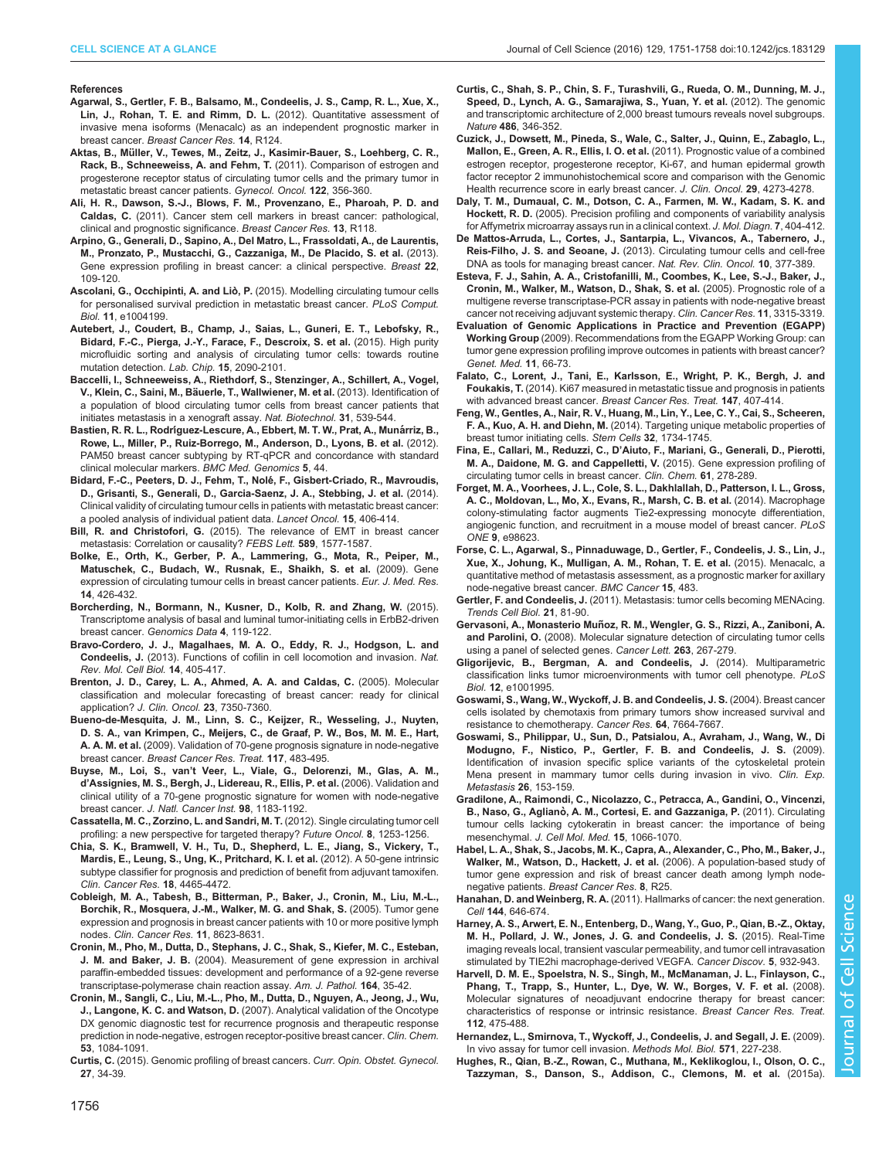#### <span id="page-5-0"></span>References

- [Agarwal, S., Gertler, F. B., Balsamo, M., Condeelis, J. S., Camp, R. L., Xue, X.,](http://dx.doi.org/10.1186/bcr3318) [Lin, J., Rohan, T. E. and Rimm, D. L.](http://dx.doi.org/10.1186/bcr3318) (2012). Quantitative assessment of [invasive mena isoforms \(Menacalc\) as an independent prognostic marker in](http://dx.doi.org/10.1186/bcr3318) breast cancer. [Breast Cancer Res.](http://dx.doi.org/10.1186/bcr3318) 14, R124.
- Aktas, B., Mü[ller, V., Tewes, M., Zeitz, J., Kasimir-Bauer, S., Loehberg, C. R.,](http://dx.doi.org/10.1016/j.ygyno.2011.04.039) [Rack, B., Schneeweiss, A. and Fehm, T.](http://dx.doi.org/10.1016/j.ygyno.2011.04.039) (2011). Comparison of estrogen and [progesterone receptor status of circulating tumor cells and the primary tumor in](http://dx.doi.org/10.1016/j.ygyno.2011.04.039) [metastatic breast cancer patients.](http://dx.doi.org/10.1016/j.ygyno.2011.04.039) Gynecol. Oncol. 122, 356-360.
- [Ali, H. R., Dawson, S.-J., Blows, F. M., Provenzano, E., Pharoah, P. D. and](http://dx.doi.org/10.1186/bcr3061) Caldas, C. [\(2011\). Cancer stem cell markers in breast cancer: pathological,](http://dx.doi.org/10.1186/bcr3061) [clinical and prognostic significance.](http://dx.doi.org/10.1186/bcr3061) Breast Cancer Res. 13, R118.
- [Arpino, G., Generali, D., Sapino, A., Del Matro, L., Frassoldati, A., de Laurentis,](http://dx.doi.org/10.1016/j.breast.2013.01.016) [M., Pronzato, P., Mustacchi, G., Cazzaniga, M., De Placido, S. et al.](http://dx.doi.org/10.1016/j.breast.2013.01.016) (2013). [Gene expression profiling in breast cancer: a clinical perspective.](http://dx.doi.org/10.1016/j.breast.2013.01.016) Breast 22, [109-120.](http://dx.doi.org/10.1016/j.breast.2013.01.016)
- Ascolani, G., Occhipinti, A. and Liò, P. [\(2015\). Modelling circulating tumour cells](http://dx.doi.org/10.1371/journal.pcbi.1004199) [for personalised survival prediction in metastatic breast cancer.](http://dx.doi.org/10.1371/journal.pcbi.1004199) PLoS Comput. Biol. 11[, e1004199.](http://dx.doi.org/10.1371/journal.pcbi.1004199)
- [Autebert, J., Coudert, B., Champ, J., Saias, L., Guneri, E. T., Lebofsky, R.,](http://dx.doi.org/10.1039/C5LC00104H) [Bidard, F.-C., Pierga, J.-Y., Farace, F., Descroix, S. et al.](http://dx.doi.org/10.1039/C5LC00104H) (2015). High purity [microfluidic sorting and analysis of circulating tumor cells: towards routine](http://dx.doi.org/10.1039/C5LC00104H) [mutation detection.](http://dx.doi.org/10.1039/C5LC00104H) Lab. Chip. 15, 2090-2101.
- [Baccelli, I., Schneeweiss, A., Riethdorf, S., Stenzinger, A., Schillert, A., Vogel,](http://dx.doi.org/10.1038/nbt.2576) V., Klein, C., Saini, M., Bä[uerle, T., Wallwiener, M. et al.](http://dx.doi.org/10.1038/nbt.2576) (2013). Identification of [a population of blood circulating tumor cells from breast cancer patients that](http://dx.doi.org/10.1038/nbt.2576) [initiates metastasis in a xenograft assay.](http://dx.doi.org/10.1038/nbt.2576) Nat. Biotechnol. 31, 539-544.
- Bastien, R. R. L., Rodríguez-Lescure, A., Ebbert, M. T. W., Prat, A., Munárriz, B., [Rowe, L., Miller, P., Ruiz-Borrego, M., Anderson, D., Lyons, B. et al.](http://dx.doi.org/10.1186/1755-8794-5-44) (2012). [PAM50 breast cancer subtyping by RT-qPCR and concordance with standard](http://dx.doi.org/10.1186/1755-8794-5-44) [clinical molecular markers.](http://dx.doi.org/10.1186/1755-8794-5-44) BMC Med. Genomics 5, 44.
- Bidard, F.-C., Peeters, D. J., Fehm, T., Nolé, F., Gisbert-Criado, R., Mavroudis, [D., Grisanti, S., Generali, D., Garcia-Saenz, J. A., Stebbing, J. et al.](http://dx.doi.org/10.1016/S1470-2045(14)70069-5) (2014). [Clinical validity of circulating tumour cells in patients with metastatic breast cancer:](http://dx.doi.org/10.1016/S1470-2045(14)70069-5) [a pooled analysis of individual patient data.](http://dx.doi.org/10.1016/S1470-2045(14)70069-5) Lancet Oncol. 15, 406-414.
- Bill, R. and Christofori, G. [\(2015\). The relevance of EMT in breast cancer](http://dx.doi.org/10.1016/j.febslet.2015.05.002) [metastasis: Correlation or causality?](http://dx.doi.org/10.1016/j.febslet.2015.05.002) FEBS Lett. 589, 1577-1587.
- Bolke, E., Orth, K., Gerber, P. A., Lammering, G., Mota, R., Peiper, M., Matuschek, C., Budach, W., Rusnak, E., Shaikh, S. et al. (2009). Gene expression of circulating tumour cells in breast cancer patients. Eur. J. Med. Res. 14, 426-432.
- [Borcherding, N., Bormann, N., Kusner, D., Kolb, R. and Zhang, W.](http://dx.doi.org/10.1016/j.gdata.2015.04.008) (2015). [Transcriptome analysis of basal and luminal tumor-initiating cells in ErbB2-driven](http://dx.doi.org/10.1016/j.gdata.2015.04.008) breast cancer. [Genomics Data](http://dx.doi.org/10.1016/j.gdata.2015.04.008) 4, 119-122.
- [Bravo-Cordero, J. J., Magalhaes, M. A. O., Eddy, R. J., Hodgson, L. and](http://dx.doi.org/10.1038/nrm3609) Condeelis, J. [\(2013\). Functions of cofilin in cell locomotion and invasion.](http://dx.doi.org/10.1038/nrm3609) Nat. [Rev. Mol. Cell Biol.](http://dx.doi.org/10.1038/nrm3609) 14, 405-417.
- [Brenton, J. D., Carey, L. A., Ahmed, A. A. and Caldas, C.](http://dx.doi.org/10.1200/JCO.2005.03.3845) (2005). Molecular [classification and molecular forecasting of breast cancer: ready for clinical](http://dx.doi.org/10.1200/JCO.2005.03.3845) application? [J. Clin. Oncol.](http://dx.doi.org/10.1200/JCO.2005.03.3845) 23, 7350-7360.
- [Bueno-de-Mesquita, J. M., Linn, S. C., Keijzer, R., Wesseling, J., Nuyten,](http://dx.doi.org/10.1007/s10549-008-0191-2) [D. S. A., van Krimpen, C., Meijers, C., de Graaf, P. W., Bos, M. M. E., Hart,](http://dx.doi.org/10.1007/s10549-008-0191-2) A. A. M. et al. [\(2009\). Validation of 70-gene prognosis signature in node-negative](http://dx.doi.org/10.1007/s10549-008-0191-2) breast cancer. [Breast Cancer Res. Treat.](http://dx.doi.org/10.1007/s10549-008-0191-2) 117, 483-495.
- Buyse, M., Loi, S., van'[t Veer, L., Viale, G., Delorenzi, M., Glas, A. M.,](http://dx.doi.org/10.1093/jnci/djj329) d'[Assignies, M. S., Bergh, J., Lidereau, R., Ellis, P. et al.](http://dx.doi.org/10.1093/jnci/djj329) (2006). Validation and [clinical utility of a 70-gene prognostic signature for women with node-negative](http://dx.doi.org/10.1093/jnci/djj329) breast cancer. [J. Natl. Cancer Inst.](http://dx.doi.org/10.1093/jnci/djj329) 98, 1183-1192.
- [Cassatella, M. C., Zorzino, L. and Sandri, M. T.](http://dx.doi.org/10.2217/fon.12.119) (2012). Single circulating tumor cell [profiling: a new perspective for targeted therapy?](http://dx.doi.org/10.2217/fon.12.119) Future Oncol. 8, 1253-1256.
- [Chia, S. K., Bramwell, V. H., Tu, D., Shepherd, L. E., Jiang, S., Vickery, T.,](http://dx.doi.org/10.1158/1078-0432.CCR-12-0286) [Mardis, E., Leung, S., Ung, K., Pritchard, K. I. et al.](http://dx.doi.org/10.1158/1078-0432.CCR-12-0286) (2012). A 50-gene intrinsic [subtype classifier for prognosis and prediction of benefit from adjuvant tamoxifen.](http://dx.doi.org/10.1158/1078-0432.CCR-12-0286) [Clin. Cancer Res.](http://dx.doi.org/10.1158/1078-0432.CCR-12-0286) 18, 4465-4472.
- [Cobleigh, M. A., Tabesh, B., Bitterman, P., Baker, J., Cronin, M., Liu, M.-L.,](http://dx.doi.org/10.1158/1078-0432.CCR-05-0735) [Borchik, R., Mosquera, J.-M., Walker, M. G. and Shak, S.](http://dx.doi.org/10.1158/1078-0432.CCR-05-0735) (2005). Tumor gene [expression and prognosis in breast cancer patients with 10 or more positive lymph](http://dx.doi.org/10.1158/1078-0432.CCR-05-0735) nodes. [Clin. Cancer Res.](http://dx.doi.org/10.1158/1078-0432.CCR-05-0735) 11, 8623-8631.
- [Cronin, M., Pho, M., Dutta, D., Stephans, J. C., Shak, S., Kiefer, M. C., Esteban,](http://dx.doi.org/10.1016/S0002-9440(10)63093-3) J. M. and Baker, J. B. [\(2004\). Measurement of gene expression in archival](http://dx.doi.org/10.1016/S0002-9440(10)63093-3) [paraffin-embedded tissues: development and performance of a 92-gene reverse](http://dx.doi.org/10.1016/S0002-9440(10)63093-3) [transcriptase-polymerase chain reaction assay.](http://dx.doi.org/10.1016/S0002-9440(10)63093-3) Am. J. Pathol. 164, 35-42.
- [Cronin, M., Sangli, C., Liu, M.-L., Pho, M., Dutta, D., Nguyen, A., Jeong, J., Wu,](http://dx.doi.org/10.1373/clinchem.2006.076497) J., Langone, K. C. and Watson, D. [\(2007\). Analytical validation of the Oncotype](http://dx.doi.org/10.1373/clinchem.2006.076497) [DX genomic diagnostic test for recurrence prognosis and therapeutic response](http://dx.doi.org/10.1373/clinchem.2006.076497) [prediction in node-negative, estrogen receptor-positive breast cancer.](http://dx.doi.org/10.1373/clinchem.2006.076497) Clin. Chem. 53[, 1084-1091.](http://dx.doi.org/10.1373/clinchem.2006.076497)
- Curtis, C. [\(2015\). Genomic profiling of breast cancers.](http://dx.doi.org/10.1097/GCO.0000000000000145) Curr. Opin. Obstet. Gynecol. 27[, 34-39.](http://dx.doi.org/10.1097/GCO.0000000000000145)
- [Curtis, C., Shah, S. P., Chin, S. F., Turashvili, G., Rueda, O. M., Dunning, M. J.,](http://dx.doi.org/10.1038/nature10983) [Speed, D., Lynch, A. G., Samarajiwa, S., Yuan, Y. et al.](http://dx.doi.org/10.1038/nature10983) (2012). The genomic [and transcriptomic architecture of 2,000 breast tumours reveals novel subgroups.](http://dx.doi.org/10.1038/nature10983) Nature 486[, 346-352.](http://dx.doi.org/10.1038/nature10983)
- [Cuzick, J., Dowsett, M., Pineda, S., Wale, C., Salter, J., Quinn, E., Zabaglo, L.,](http://dx.doi.org/10.1200/JCO.2010.31.2835) [Mallon, E., Green, A. R., Ellis, I. O. et al.](http://dx.doi.org/10.1200/JCO.2010.31.2835) (2011). Prognostic value of a combined [estrogen receptor, progesterone receptor, Ki-67, and human epidermal growth](http://dx.doi.org/10.1200/JCO.2010.31.2835) [factor receptor 2 immunohistochemical score and comparison with the Genomic](http://dx.doi.org/10.1200/JCO.2010.31.2835) [Health recurrence score in early breast cancer.](http://dx.doi.org/10.1200/JCO.2010.31.2835) J. Clin. Oncol. 29, 4273-4278.
- [Daly, T. M., Dumaual, C. M., Dotson, C. A., Farmen, M. W., Kadam, S. K. and](http://dx.doi.org/10.1016/S1525-1578(10)60570-3) Hockett, R. D. [\(2005\). Precision profiling and components of variability analysis](http://dx.doi.org/10.1016/S1525-1578(10)60570-3) [for Affymetrix microarray assays run in a clinical context.](http://dx.doi.org/10.1016/S1525-1578(10)60570-3) J. Mol. Diagn. 7, 404-412.
- [De Mattos-Arruda, L., Cortes, J., Santarpia, L., Vivancos, A., Tabernero, J.,](http://dx.doi.org/10.1038/nrclinonc.2013.80) Reis-Filho, J. S. and Seoane, J. [\(2013\). Circulating tumour cells and cell-free](http://dx.doi.org/10.1038/nrclinonc.2013.80) [DNA as tools for managing breast cancer.](http://dx.doi.org/10.1038/nrclinonc.2013.80) Nat. Rev. Clin. Oncol. 10, 377-389.
- [Esteva, F. J., Sahin, A. A., Cristofanilli, M., Coombes, K., Lee, S.-J., Baker, J.,](http://dx.doi.org/10.1158/1078-0432.CCR-04-1707) [Cronin, M., Walker, M., Watson, D., Shak, S. et al.](http://dx.doi.org/10.1158/1078-0432.CCR-04-1707) (2005). Prognostic role of a [multigene reverse transcriptase-PCR assay in patients with node-negative breast](http://dx.doi.org/10.1158/1078-0432.CCR-04-1707) [cancer not receiving adjuvant systemic therapy.](http://dx.doi.org/10.1158/1078-0432.CCR-04-1707) Clin. Cancer Res. 11, 3315-3319.
- [Evaluation of Genomic Applications in Practice and Prevention \(EGAPP\)](http://dx.doi.org/10.1097/GIM.0b013e3181928f56) Working Group [\(2009\). Recommendations from the EGAPP Working Group: can](http://dx.doi.org/10.1097/GIM.0b013e3181928f56) [tumor gene expression profiling improve outcomes in patients with breast cancer?](http://dx.doi.org/10.1097/GIM.0b013e3181928f56) [Genet. Med.](http://dx.doi.org/10.1097/GIM.0b013e3181928f56) 11, 66-73.
- [Falato, C., Lorent, J., Tani, E., Karlsson, E., Wright, P. K., Bergh, J. and](http://dx.doi.org/10.1007/s10549-014-3096-2) Foukakis, T. [\(2014\). Ki67 measured in metastatic tissue and prognosis in patients](http://dx.doi.org/10.1007/s10549-014-3096-2) [with advanced breast cancer.](http://dx.doi.org/10.1007/s10549-014-3096-2) Breast Cancer Res. Treat. 147, 407-414.
- [Feng, W., Gentles, A., Nair, R. V., Huang, M., Lin, Y., Lee, C. Y., Cai, S., Scheeren,](http://dx.doi.org/10.1002/stem.1662) F. A., Kuo, A. H. and Diehn, M. [\(2014\). Targeting unique metabolic properties of](http://dx.doi.org/10.1002/stem.1662) [breast tumor initiating cells.](http://dx.doi.org/10.1002/stem.1662) Stem Cells 32, 1734-1745.
- Fina, E., Callari, M., Reduzzi, C., D'[Aiuto, F., Mariani, G., Generali, D., Pierotti,](http://dx.doi.org/10.1373/clinchem.2014.229476) [M. A., Daidone, M. G. and Cappelletti, V.](http://dx.doi.org/10.1373/clinchem.2014.229476) (2015). Gene expression profiling of [circulating tumor cells in breast cancer.](http://dx.doi.org/10.1373/clinchem.2014.229476) Clin. Chem. 61, 278-289.
- [Forget, M. A., Voorhees, J. L., Cole, S. L., Dakhlallah, D., Patterson, I. L., Gross,](http://dx.doi.org/10.1371/journal.pone.0098623) [A. C., Moldovan, L., Mo, X., Evans, R., Marsh, C. B. et al.](http://dx.doi.org/10.1371/journal.pone.0098623) (2014). Macrophage [colony-stimulating factor augments Tie2-expressing monocyte differentiation,](http://dx.doi.org/10.1371/journal.pone.0098623) [angiogenic function, and recruitment in a mouse model of breast cancer.](http://dx.doi.org/10.1371/journal.pone.0098623) PLoS ONE 9[, e98623.](http://dx.doi.org/10.1371/journal.pone.0098623)
- [Forse, C. L., Agarwal, S., Pinnaduwage, D., Gertler, F., Condeelis, J. S., Lin, J.,](http://dx.doi.org/10.1186/s12885-015-1468-6) [Xue, X., Johung, K., Mulligan, A. M., Rohan, T. E. et al.](http://dx.doi.org/10.1186/s12885-015-1468-6) (2015). Menacalc, a [quantitative method of metastasis assessment, as a prognostic marker for axillary](http://dx.doi.org/10.1186/s12885-015-1468-6) [node-negative breast cancer.](http://dx.doi.org/10.1186/s12885-015-1468-6) BMC Cancer 15, 483.
- Gertler, F. and Condeelis, J. [\(2011\). Metastasis: tumor cells becoming MENAcing.](http://dx.doi.org/10.1016/j.tcb.2010.10.001) [Trends Cell Biol.](http://dx.doi.org/10.1016/j.tcb.2010.10.001) 21, 81-90.
- Gervasoni, A., Monasterio Muñ[oz, R. M., Wengler, G. S., Rizzi, A., Zaniboni, A.](http://dx.doi.org/10.1016/j.canlet.2008.01.003) and Parolini, O. [\(2008\). Molecular signature detection of circulating tumor cells](http://dx.doi.org/10.1016/j.canlet.2008.01.003) [using a panel of selected genes.](http://dx.doi.org/10.1016/j.canlet.2008.01.003) Cancer Lett. 263, 267-279.
- [Gligorijevic, B., Bergman, A. and Condeelis, J.](http://dx.doi.org/10.1371/journal.pbio.1001995) (2014). Multiparametric [classification links tumor microenvironments with tumor cell phenotype.](http://dx.doi.org/10.1371/journal.pbio.1001995) PLoS Biol. 12[, e1001995.](http://dx.doi.org/10.1371/journal.pbio.1001995)
- [Goswami, S., Wang, W., Wyckoff, J. B. and Condeelis, J. S.](http://dx.doi.org/10.1158/0008-5472.CAN-04-2027) (2004). Breast cancer [cells isolated by chemotaxis from primary tumors show increased survival and](http://dx.doi.org/10.1158/0008-5472.CAN-04-2027) [resistance to chemotherapy.](http://dx.doi.org/10.1158/0008-5472.CAN-04-2027) Cancer Res. 64, 7664-7667.
- [Goswami, S., Philippar, U., Sun, D., Patsialou, A., Avraham, J., Wang, W., Di](http://dx.doi.org/10.1007/s10585-008-9225-8) [Modugno, F., Nistico, P., Gertler, F. B. and Condeelis, J. S.](http://dx.doi.org/10.1007/s10585-008-9225-8) (2009). [Identification of invasion specific splice variants of the cytoskeletal protein](http://dx.doi.org/10.1007/s10585-008-9225-8) [Mena present in mammary tumor cells during invasion in vivo.](http://dx.doi.org/10.1007/s10585-008-9225-8) Clin. Exp. [Metastasis](http://dx.doi.org/10.1007/s10585-008-9225-8) 26, 153-159.
- [Gradilone, A., Raimondi, C., Nicolazzo, C., Petracca, A., Gandini, O., Vincenzi,](http://dx.doi.org/10.1111/j.1582-4934.2011.01285.x) B., Naso, G., Aglianò[, A. M., Cortesi, E. and Gazzaniga, P.](http://dx.doi.org/10.1111/j.1582-4934.2011.01285.x) (2011). Circulating [tumour cells lacking cytokeratin in breast cancer: the importance of being](http://dx.doi.org/10.1111/j.1582-4934.2011.01285.x) mesenchymal. [J. Cell Mol. Med.](http://dx.doi.org/10.1111/j.1582-4934.2011.01285.x) 15, 1066-1070.
- [Habel, L. A., Shak, S., Jacobs, M. K., Capra, A., Alexander, C., Pho, M., Baker, J.,](http://dx.doi.org/10.1186/bcr1412) [Walker, M., Watson, D., Hackett, J. et al.](http://dx.doi.org/10.1186/bcr1412) (2006). A population-based study of [tumor gene expression and risk of breast cancer death among lymph node](http://dx.doi.org/10.1186/bcr1412)negative patients. [Breast Cancer Res.](http://dx.doi.org/10.1186/bcr1412) 8, R25.
- Hanahan, D. and Weinberg, R. A. [\(2011\). Hallmarks of cancer: the next generation.](http://dx.doi.org/10.1016/j.cell.2011.02.013) Cell 144[, 646-674.](http://dx.doi.org/10.1016/j.cell.2011.02.013)
- [Harney, A. S., Arwert, E. N., Entenberg, D., Wang, Y., Guo, P., Qian, B.-Z., Oktay,](http://dx.doi.org/10.1158/2159-8290.CD-15-0012) [M. H., Pollard, J. W., Jones, J. G. and Condeelis, J. S.](http://dx.doi.org/10.1158/2159-8290.CD-15-0012) (2015). Real-Time [imaging reveals local, transient vascular permeability, and tumor cell intravasation](http://dx.doi.org/10.1158/2159-8290.CD-15-0012) [stimulated by TIE2hi macrophage-derived VEGFA.](http://dx.doi.org/10.1158/2159-8290.CD-15-0012) Cancer Discov. 5, 932-943.
- [Harvell, D. M. E., Spoelstra, N. S., Singh, M., McManaman, J. L., Finlayson, C.,](http://dx.doi.org/10.1007/s10549-008-9897-4) [Phang, T., Trapp, S., Hunter, L., Dye, W. W., Borges, V. F. et al.](http://dx.doi.org/10.1007/s10549-008-9897-4) (2008). [Molecular signatures of neoadjuvant endocrine therapy for breast cancer:](http://dx.doi.org/10.1007/s10549-008-9897-4) [characteristics of response or intrinsic resistance.](http://dx.doi.org/10.1007/s10549-008-9897-4) Breast Cancer Res. Treat. 112[, 475-488.](http://dx.doi.org/10.1007/s10549-008-9897-4)
- [Hernandez, L., Smirnova, T., Wyckoff, J., Condeelis, J. and Segall, J. E.](http://dx.doi.org/10.1007/978-1-60761-198-1_15) (2009). [In vivo assay for tumor cell invasion.](http://dx.doi.org/10.1007/978-1-60761-198-1_15) Methods Mol. Biol. 571, 227-238.
- [Hughes, R., Qian, B.-Z., Rowan, C., Muthana, M., Keklikoglou, I., Olson, O. C.,](http://dx.doi.org/10.1158/0008-5472.CAN-14-3587) [Tazzyman, S., Danson, S., Addison, C., Clemons, M. et al.](http://dx.doi.org/10.1158/0008-5472.CAN-14-3587) (2015a).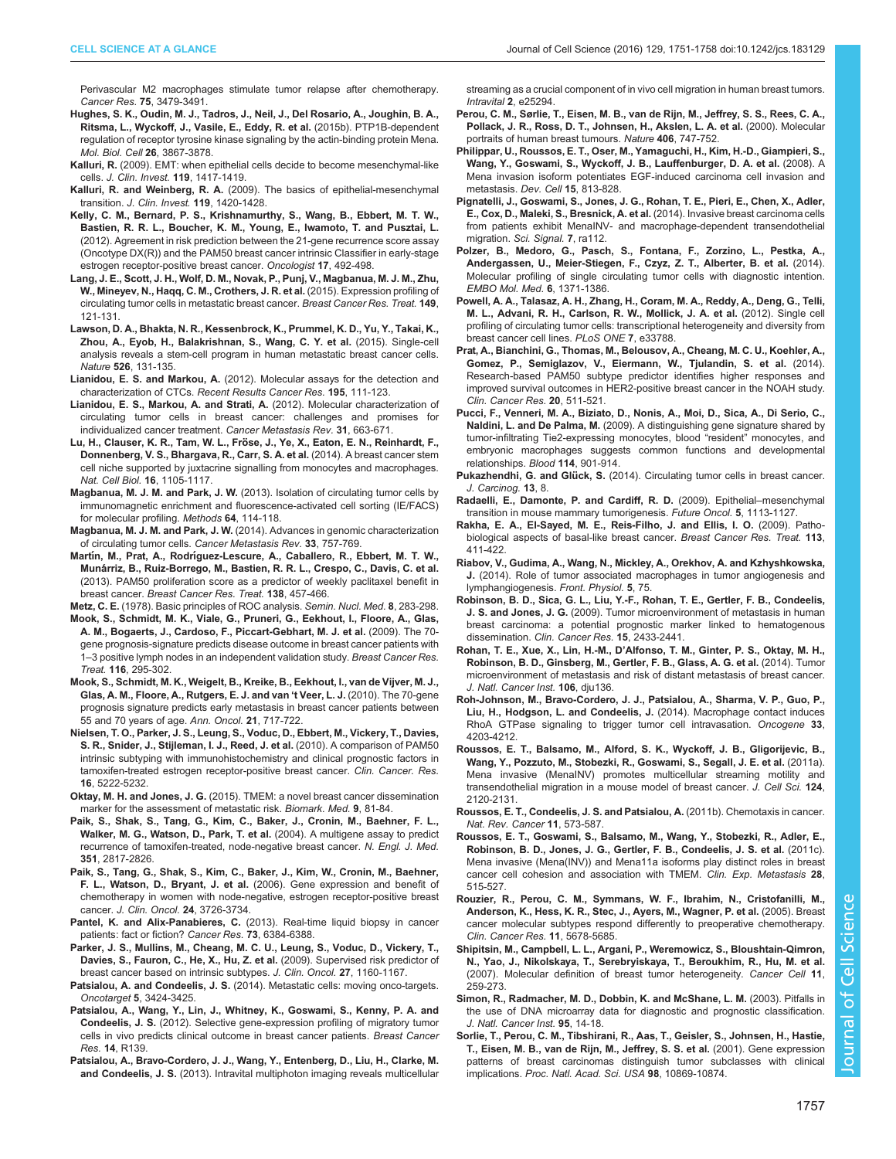<span id="page-6-0"></span>[Perivascular M2 macrophages stimulate tumor relapse after chemotherapy.](http://dx.doi.org/10.1158/0008-5472.CAN-14-3587) Cancer Res. 75[, 3479-3491.](http://dx.doi.org/10.1158/0008-5472.CAN-14-3587)

- [Hughes, S. K., Oudin, M. J., Tadros, J., Neil, J., Del Rosario, A., Joughin, B. A.,](http://dx.doi.org/10.1091/mbc.E15-06-0442) [Ritsma, L., Wyckoff, J., Vasile, E., Eddy, R. et al.](http://dx.doi.org/10.1091/mbc.E15-06-0442) (2015b). PTP1B-dependent [regulation of receptor tyrosine kinase signaling by the actin-binding protein Mena.](http://dx.doi.org/10.1091/mbc.E15-06-0442) [Mol. Biol. Cell](http://dx.doi.org/10.1091/mbc.E15-06-0442) 26, 3867-3878.
- Kalluri, R. [\(2009\). EMT: when epithelial cells decide to become mesenchymal-like](http://dx.doi.org/10.1172/JCI39675) cells. [J. Clin. Invest.](http://dx.doi.org/10.1172/JCI39675) 119, 1417-1419.
- Kalluri, R. and Weinberg, R. A. [\(2009\). The basics of epithelial-mesenchymal](http://dx.doi.org/10.1172/JCI39104) transition. [J. Clin. Invest.](http://dx.doi.org/10.1172/JCI39104) 119, 1420-1428.
- [Kelly, C. M., Bernard, P. S., Krishnamurthy, S., Wang, B., Ebbert, M. T. W.,](http://dx.doi.org/10.1634/theoncologist.2012-0007) [Bastien, R. R. L., Boucher, K. M., Young, E., Iwamoto, T. and Pusztai, L.](http://dx.doi.org/10.1634/theoncologist.2012-0007) [\(2012\). Agreement in risk prediction between the 21-gene recurrence score assay](http://dx.doi.org/10.1634/theoncologist.2012-0007) [\(Oncotype DX\(R\)\) and the PAM50 breast cancer intrinsic Classifier in early-stage](http://dx.doi.org/10.1634/theoncologist.2012-0007) [estrogen receptor-positive breast cancer.](http://dx.doi.org/10.1634/theoncologist.2012-0007) Oncologist 17, 492-498.
- [Lang, J. E., Scott, J. H., Wolf, D. M., Novak, P., Punj, V., Magbanua, M. J. M., Zhu,](http://dx.doi.org/10.1007/s10549-014-3215-0) [W., Mineyev, N., Haqq, C. M., Crothers, J. R. et al.](http://dx.doi.org/10.1007/s10549-014-3215-0) (2015). Expression profiling of [circulating tumor cells in metastatic breast cancer.](http://dx.doi.org/10.1007/s10549-014-3215-0) Breast Cancer Res. Treat. 149, [121-131.](http://dx.doi.org/10.1007/s10549-014-3215-0)
- [Lawson, D. A., Bhakta, N. R., Kessenbrock, K., Prummel, K. D., Yu, Y., Takai, K.,](http://dx.doi.org/10.1038/nature15260) [Zhou, A., Eyob, H., Balakrishnan, S., Wang, C. Y. et al.](http://dx.doi.org/10.1038/nature15260) (2015). Single-cell [analysis reveals a stem-cell program in human metastatic breast cancer cells.](http://dx.doi.org/10.1038/nature15260) Nature 526[, 131-135.](http://dx.doi.org/10.1038/nature15260)
- Lianidou, E. S. and Markou, A. [\(2012\). Molecular assays for the detection and](http://dx.doi.org/10.1007/978-3-642-28160-0_10) characterization of CTCs. [Recent Results Cancer Res.](http://dx.doi.org/10.1007/978-3-642-28160-0_10) 195, 111-123.
- [Lianidou, E. S., Markou, A. and Strati, A.](http://dx.doi.org/10.1007/s10555-012-9366-8) (2012). Molecular characterization of [circulating tumor cells in breast cancer: challenges and promises for](http://dx.doi.org/10.1007/s10555-012-9366-8) [individualized cancer treatment.](http://dx.doi.org/10.1007/s10555-012-9366-8) Cancer Metastasis Rev. 31, 663-671.
- Lu, H., Clauser, K. R., Tam, W. L., Frö[se, J., Ye, X., Eaton, E. N., Reinhardt, F.,](http://dx.doi.org/10.1038/ncb3041) [Donnenberg, V. S., Bhargava, R., Carr, S. A. et al.](http://dx.doi.org/10.1038/ncb3041) (2014). A breast cancer stem [cell niche supported by juxtacrine signalling from monocytes and macrophages.](http://dx.doi.org/10.1038/ncb3041) [Nat. Cell Biol.](http://dx.doi.org/10.1038/ncb3041) 16, 1105-1117.
- Magbanua, M. J. M. and Park, J. W. [\(2013\). Isolation of circulating tumor cells by](http://dx.doi.org/10.1016/j.ymeth.2013.07.029) [immunomagnetic enrichment and fluorescence-activated cell sorting \(IE/FACS\)](http://dx.doi.org/10.1016/j.ymeth.2013.07.029) [for molecular profiling.](http://dx.doi.org/10.1016/j.ymeth.2013.07.029) Methods 64, 114-118.
- Magbanua, M. J. M. and Park, J. W. [\(2014\). Advances in genomic characterization](http://dx.doi.org/10.1007/s10555-014-9503-7) [of circulating tumor cells.](http://dx.doi.org/10.1007/s10555-014-9503-7) Cancer Metastasis Rev. 33, 757-769.
- Martín, M., Prat, A., Rodrí[guez-Lescure, A., Caballero, R., Ebbert, M. T. W.,](http://dx.doi.org/10.1007/s10549-013-2416-2) Muná[rriz, B., Ruiz-Borrego, M., Bastien, R. R. L., Crespo, C., Davis, C. et al.](http://dx.doi.org/10.1007/s10549-013-2416-2) [\(2013\). PAM50 proliferation score as a predictor of weekly paclitaxel benefit in](http://dx.doi.org/10.1007/s10549-013-2416-2) breast cancer. [Breast Cancer Res. Treat.](http://dx.doi.org/10.1007/s10549-013-2416-2) 138, 457-466.

Metz, C. E. [\(1978\). Basic principles of ROC analysis.](http://dx.doi.org/10.1016/S0001-2998(78)80014-2) Semin. Nucl. Med. 8, 283-298.

- [Mook, S., Schmidt, M. K., Viale, G., Pruneri, G., Eekhout, I., Floore, A., Glas,](http://dx.doi.org/10.1007/s10549-008-0130-2) [A. M., Bogaerts, J., Cardoso, F., Piccart-Gebhart, M. J. et al.](http://dx.doi.org/10.1007/s10549-008-0130-2) (2009). The 70 [gene prognosis-signature predicts disease outcome in breast cancer patients with](http://dx.doi.org/10.1007/s10549-008-0130-2) 1-[3 positive lymph nodes in an independent validation study.](http://dx.doi.org/10.1007/s10549-008-0130-2) Breast Cancer Res. Treat. 116[, 295-302.](http://dx.doi.org/10.1007/s10549-008-0130-2)
- [Mook, S., Schmidt, M. K., Weigelt, B., Kreike, B., Eekhout, I., van de Vijver, M. J.,](http://dx.doi.org/10.1093/annonc/mdp388) [Glas, A. M., Floore, A., Rutgers, E. J. and van](http://dx.doi.org/10.1093/annonc/mdp388) 't Veer, L. J. (2010). The 70-gene [prognosis signature predicts early metastasis in breast cancer patients between](http://dx.doi.org/10.1093/annonc/mdp388) [55 and 70 years of age.](http://dx.doi.org/10.1093/annonc/mdp388) Ann. Oncol. 21, 717-722.
- [Nielsen, T. O., Parker, J. S., Leung, S., Voduc, D., Ebbert, M., Vickery, T., Davies,](http://dx.doi.org/10.1158/1078-0432.CCR-10-1282) [S. R., Snider, J., Stijleman, I. J., Reed, J. et al.](http://dx.doi.org/10.1158/1078-0432.CCR-10-1282) (2010). A comparison of PAM50 [intrinsic subtyping with immunohistochemistry and clinical prognostic factors in](http://dx.doi.org/10.1158/1078-0432.CCR-10-1282) [tamoxifen-treated estrogen receptor-positive breast cancer.](http://dx.doi.org/10.1158/1078-0432.CCR-10-1282) Clin. Cancer. Res. 16[, 5222-5232.](http://dx.doi.org/10.1158/1078-0432.CCR-10-1282)
- Oktay, M. H. and Jones, J. G. [\(2015\). TMEM: a novel breast cancer dissemination](http://dx.doi.org/10.2217/bmm.14.104) [marker for the assessment of metastatic risk.](http://dx.doi.org/10.2217/bmm.14.104) Biomark. Med. 9, 81-84.
- [Paik, S., Shak, S., Tang, G., Kim, C., Baker, J., Cronin, M., Baehner, F. L.,](http://dx.doi.org/10.1056/NEJMoa041588) [Walker, M. G., Watson, D., Park, T. et al.](http://dx.doi.org/10.1056/NEJMoa041588) (2004). A multigene assay to predict [recurrence of tamoxifen-treated, node-negative breast cancer.](http://dx.doi.org/10.1056/NEJMoa041588) N. Engl. J. Med. 351[, 2817-2826.](http://dx.doi.org/10.1056/NEJMoa041588)
- [Paik, S., Tang, G., Shak, S., Kim, C., Baker, J., Kim, W., Cronin, M., Baehner,](http://dx.doi.org/10.1200/JCO.2005.04.7985) F. L., Watson, D., Bryant, J. et al. [\(2006\). Gene expression and benefit of](http://dx.doi.org/10.1200/JCO.2005.04.7985) [chemotherapy in women with node-negative, estrogen receptor-positive breast](http://dx.doi.org/10.1200/JCO.2005.04.7985) cancer. [J. Clin. Oncol.](http://dx.doi.org/10.1200/JCO.2005.04.7985) 24, 3726-3734.
- Pantel, K. and Alix-Panabieres, C. [\(2013\). Real-time liquid biopsy in cancer](http://dx.doi.org/10.1158/0008-5472.CAN-13-2030) [patients: fact or fiction?](http://dx.doi.org/10.1158/0008-5472.CAN-13-2030) Cancer Res. 73, 6384-6388.
- [Parker, J. S., Mullins, M., Cheang, M. C. U., Leung, S., Voduc, D., Vickery, T.,](http://dx.doi.org/10.1200/JCO.2008.18.1370) [Davies, S., Fauron, C., He, X., Hu, Z. et al.](http://dx.doi.org/10.1200/JCO.2008.18.1370) (2009). Supervised risk predictor of [breast cancer based on intrinsic subtypes.](http://dx.doi.org/10.1200/JCO.2008.18.1370) J. Clin. Oncol. 27, 1160-1167.
- Patsialou, A. and Condeelis, J. S. [\(2014\). Metastatic cells: moving onco-targets.](http://dx.doi.org/10.18632/oncotarget.2057) Oncotarget 5[, 3424-3425.](http://dx.doi.org/10.18632/oncotarget.2057)
- [Patsialou, A., Wang, Y., Lin, J., Whitney, K., Goswami, S., Kenny, P. A. and](http://dx.doi.org/10.1186/bcr3344) Condeelis, J. S. [\(2012\). Selective gene-expression profiling of migratory tumor](http://dx.doi.org/10.1186/bcr3344) [cells in vivo predicts clinical outcome in breast cancer patients.](http://dx.doi.org/10.1186/bcr3344) Breast Cancer Res. 14[, R139.](http://dx.doi.org/10.1186/bcr3344)
- [Patsialou, A., Bravo-Cordero, J. J., Wang, Y., Entenberg, D., Liu, H., Clarke, M.](http://dx.doi.org/10.4161/intv.25294) and Condeelis, J. S. [\(2013\). Intravital multiphoton imaging reveals multicellular](http://dx.doi.org/10.4161/intv.25294)

[streaming as a crucial component of in vivo cell migration in human breast tumors.](http://dx.doi.org/10.4161/intv.25294) Intravital 2[, e25294.](http://dx.doi.org/10.4161/intv.25294)

- [Perou, C. M., Sørlie, T., Eisen, M. B., van de Rijn, M., Jeffrey, S. S., Rees, C. A.,](http://dx.doi.org/10.1038/35021093) [Pollack, J. R., Ross, D. T., Johnsen, H., Akslen, L. A. et al.](http://dx.doi.org/10.1038/35021093) (2000). Molecular [portraits of human breast tumours.](http://dx.doi.org/10.1038/35021093) Nature 406, 747-752.
- [Philippar, U., Roussos, E. T., Oser, M., Yamaguchi, H., Kim, H.-D., Giampieri, S.,](http://dx.doi.org/10.1016/j.devcel.2008.09.003) [Wang, Y., Goswami, S., Wyckoff, J. B., Lauffenburger, D. A. et al.](http://dx.doi.org/10.1016/j.devcel.2008.09.003) (2008). A [Mena invasion isoform potentiates EGF-induced carcinoma cell invasion and](http://dx.doi.org/10.1016/j.devcel.2008.09.003) [metastasis.](http://dx.doi.org/10.1016/j.devcel.2008.09.003) Dev. Cell 15, 813-828.
- [Pignatelli, J., Goswami, S., Jones, J. G., Rohan, T. E., Pieri, E., Chen, X., Adler,](http://dx.doi.org/10.1126/scisignal.2005329) [E., Cox, D., Maleki, S., Bresnick, A. et al.](http://dx.doi.org/10.1126/scisignal.2005329) (2014). Invasive breast carcinoma cells [from patients exhibit MenaINV- and macrophage-dependent transendothelial](http://dx.doi.org/10.1126/scisignal.2005329) migration. [Sci. Signal.](http://dx.doi.org/10.1126/scisignal.2005329) 7, ra112.
- [Polzer, B., Medoro, G., Pasch, S., Fontana, F., Zorzino, L., Pestka, A.,](http://dx.doi.org/10.15252/emmm.201404033) [Andergassen, U., Meier-Stiegen, F., Czyz, Z. T., Alberter, B. et al.](http://dx.doi.org/10.15252/emmm.201404033) (2014). [Molecular profiling of single circulating tumor cells with diagnostic intention.](http://dx.doi.org/10.15252/emmm.201404033) [EMBO Mol. Med.](http://dx.doi.org/10.15252/emmm.201404033) 6, 1371-1386.
- [Powell, A. A., Talasaz, A. H., Zhang, H., Coram, M. A., Reddy, A., Deng, G., Telli,](http://dx.doi.org/10.1371/journal.pone.0033788) [M. L., Advani, R. H., Carlson, R. W., Mollick, J. A. et al.](http://dx.doi.org/10.1371/journal.pone.0033788) (2012). Single cell [profiling of circulating tumor cells: transcriptional heterogeneity and diversity from](http://dx.doi.org/10.1371/journal.pone.0033788) [breast cancer cell lines.](http://dx.doi.org/10.1371/journal.pone.0033788) PLoS ONE 7, e33788.
- [Prat, A., Bianchini, G., Thomas, M., Belousov, A., Cheang, M. C. U., Koehler, A.,](http://dx.doi.org/10.1158/1078-0432.CCR-13-0239) [Gomez, P., Semiglazov, V., Eiermann, W., Tjulandin, S. et al.](http://dx.doi.org/10.1158/1078-0432.CCR-13-0239) (2014). [Research-based PAM50 subtype predictor identifies higher responses and](http://dx.doi.org/10.1158/1078-0432.CCR-13-0239) [improved survival outcomes in HER2-positive breast cancer in the NOAH study.](http://dx.doi.org/10.1158/1078-0432.CCR-13-0239) [Clin. Cancer Res.](http://dx.doi.org/10.1158/1078-0432.CCR-13-0239) 20, 511-521.
- [Pucci, F., Venneri, M. A., Biziato, D., Nonis, A., Moi, D., Sica, A., Di Serio, C.,](http://dx.doi.org/10.1182/blood-2009-01-200931) Naldini, L. and De Palma, M. [\(2009\). A distinguishing gene signature shared by](http://dx.doi.org/10.1182/blood-2009-01-200931) [tumor-infiltrating Tie2-expressing monocytes, blood](http://dx.doi.org/10.1182/blood-2009-01-200931) "resident" monocytes, and [embryonic macrophages suggests common functions and developmental](http://dx.doi.org/10.1182/blood-2009-01-200931) [relationships.](http://dx.doi.org/10.1182/blood-2009-01-200931) Blood 114, 901-914.
- Pukazhendhi, G. and Glück, S. [\(2014\). Circulating tumor cells in breast cancer.](http://dx.doi.org/10.4103/1477-3163.135578) [J. Carcinog.](http://dx.doi.org/10.4103/1477-3163.135578) 13, 8.
- [Radaelli, E., Damonte, P. and Cardiff, R. D.](http://dx.doi.org/10.2217/fon.09.93) (2009). Epithelial–mesenchymal [transition in mouse mammary tumorigenesis.](http://dx.doi.org/10.2217/fon.09.93) Future Oncol. 5, 1113-1127.
- [Rakha, E. A., El-Sayed, M. E., Reis-Filho, J. and Ellis, I. O.](http://dx.doi.org/10.1007/s10549-008-9952-1) (2009). Patho[biological aspects of basal-like breast cancer.](http://dx.doi.org/10.1007/s10549-008-9952-1) Breast Cancer Res. Treat. 113, [411-422.](http://dx.doi.org/10.1007/s10549-008-9952-1)
- [Riabov, V., Gudima, A., Wang, N., Mickley, A., Orekhov, A. and Kzhyshkowska,](http://dx.doi.org/10.3389/fphys.2014.00075) J. [\(2014\). Role of tumor associated macrophages in tumor angiogenesis and](http://dx.doi.org/10.3389/fphys.2014.00075) [lymphangiogenesis.](http://dx.doi.org/10.3389/fphys.2014.00075) Front. Physiol. 5, 75.
- [Robinson, B. D., Sica, G. L., Liu, Y.-F., Rohan, T. E., Gertler, F. B., Condeelis,](http://dx.doi.org/10.1158/1078-0432.CCR-08-2179) J. S. and Jones, J. G. [\(2009\). Tumor microenvironment of metastasis in human](http://dx.doi.org/10.1158/1078-0432.CCR-08-2179) [breast carcinoma: a potential prognostic marker linked to hematogenous](http://dx.doi.org/10.1158/1078-0432.CCR-08-2179) dissemination. [Clin. Cancer Res.](http://dx.doi.org/10.1158/1078-0432.CCR-08-2179) 15, 2433-2441.
- Rohan, T. E., Xue, X., Lin, H.-M., D'[Alfonso, T. M., Ginter, P. S., Oktay, M. H.,](http://dx.doi.org/10.1093/jnci/dju136) [Robinson, B. D., Ginsberg, M., Gertler, F. B., Glass, A. G. et al.](http://dx.doi.org/10.1093/jnci/dju136) (2014). Tumor [microenvironment of metastasis and risk of distant metastasis of breast cancer.](http://dx.doi.org/10.1093/jnci/dju136) [J. Natl. Cancer Inst.](http://dx.doi.org/10.1093/jnci/dju136) 106, dju136.
- [Roh-Johnson, M., Bravo-Cordero, J. J., Patsialou, A., Sharma, V. P., Guo, P.,](http://dx.doi.org/10.1038/onc.2013.377) [Liu, H., Hodgson, L. and Condeelis, J.](http://dx.doi.org/10.1038/onc.2013.377) (2014). Macrophage contact induces [RhoA GTPase signaling to trigger tumor cell intravasation.](http://dx.doi.org/10.1038/onc.2013.377) Oncogene 33, [4203-4212.](http://dx.doi.org/10.1038/onc.2013.377)
- [Roussos, E. T., Balsamo, M., Alford, S. K., Wyckoff, J. B., Gligorijevic, B.,](http://dx.doi.org/10.1242/jcs.086231) [Wang, Y., Pozzuto, M., Stobezki, R., Goswami, S., Segall, J. E. et al.](http://dx.doi.org/10.1242/jcs.086231) (2011a). [Mena invasive \(MenaINV\) promotes multicellular streaming motility and](http://dx.doi.org/10.1242/jcs.086231) [transendothelial migration in a mouse model of breast cancer.](http://dx.doi.org/10.1242/jcs.086231) J. Cell Sci. 124, [2120-2131.](http://dx.doi.org/10.1242/jcs.086231)
- [Roussos, E. T., Condeelis, J. S. and Patsialou, A.](http://dx.doi.org/10.1038/nrc3078) (2011b). Chemotaxis in cancer. [Nat. Rev. Cancer](http://dx.doi.org/10.1038/nrc3078) 11, 573-587.
- [Roussos, E. T., Goswami, S., Balsamo, M., Wang, Y., Stobezki, R., Adler, E.,](http://dx.doi.org/10.1007/s10585-011-9388-6) [Robinson, B. D., Jones, J. G., Gertler, F. B., Condeelis, J. S. et al.](http://dx.doi.org/10.1007/s10585-011-9388-6) (2011c). [Mena invasive \(Mena\(INV\)\) and Mena11a isoforms play distinct roles in breast](http://dx.doi.org/10.1007/s10585-011-9388-6) [cancer cell cohesion and association with TMEM.](http://dx.doi.org/10.1007/s10585-011-9388-6) Clin. Exp. Metastasis 28, [515-527.](http://dx.doi.org/10.1007/s10585-011-9388-6)
- [Rouzier, R., Perou, C. M., Symmans, W. F., Ibrahim, N., Cristofanilli, M.,](http://dx.doi.org/10.1158/1078-0432.CCR-04-2421) [Anderson, K., Hess, K. R., Stec, J., Ayers, M., Wagner, P. et al.](http://dx.doi.org/10.1158/1078-0432.CCR-04-2421) (2005). Breast [cancer molecular subtypes respond differently to preoperative chemotherapy.](http://dx.doi.org/10.1158/1078-0432.CCR-04-2421) [Clin. Cancer Res.](http://dx.doi.org/10.1158/1078-0432.CCR-04-2421) 11, 5678-5685.
- [Shipitsin, M., Campbell, L. L., Argani, P., Weremowicz, S., Bloushtain-Qimron,](http://dx.doi.org/10.1016/j.ccr.2007.01.013) [N., Yao, J., Nikolskaya, T., Serebryiskaya, T., Beroukhim, R., Hu, M. et al.](http://dx.doi.org/10.1016/j.ccr.2007.01.013) [\(2007\). Molecular definition of breast tumor heterogeneity.](http://dx.doi.org/10.1016/j.ccr.2007.01.013) Cancer Cell 11, [259-273.](http://dx.doi.org/10.1016/j.ccr.2007.01.013)
- [Simon, R., Radmacher, M. D., Dobbin, K. and McShane, L. M.](http://dx.doi.org/10.1093/jnci/95.1.14) (2003). Pitfalls in [the use of DNA microarray data for diagnostic and prognostic classification.](http://dx.doi.org/10.1093/jnci/95.1.14) [J. Natl. Cancer Inst.](http://dx.doi.org/10.1093/jnci/95.1.14) 95, 14-18.
- [Sorlie, T., Perou, C. M., Tibshirani, R., Aas, T., Geisler, S., Johnsen, H., Hastie,](http://dx.doi.org/10.1073/pnas.191367098) [T., Eisen, M. B., van de Rijn, M., Jeffrey, S. S. et al.](http://dx.doi.org/10.1073/pnas.191367098) (2001). Gene expression [patterns of breast carcinomas distinguish tumor subclasses with clinical](http://dx.doi.org/10.1073/pnas.191367098) implications. [Proc. Natl. Acad. Sci. USA](http://dx.doi.org/10.1073/pnas.191367098) 98, 10869-10874.

Science

 $\overline{9}$ ō

purnal